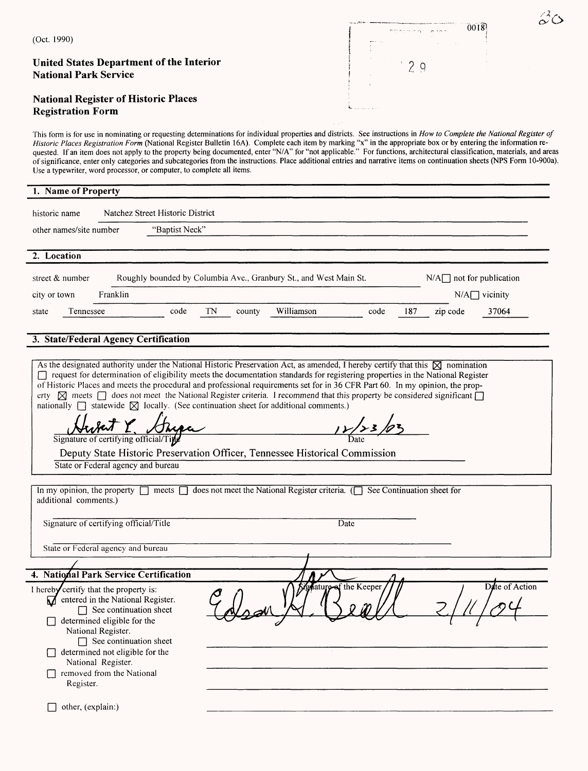| (Oct. 1990)                                                                                                                                                                                                                                                                                                                                                                                                                                                                                                                                                                                                                                                                                                                                                              |                                                                                                                                                                                                                                                       |                                                                                                                                |    |        |                                                                                                            |      |                                  |          | 0018                           | $\mathcal{Z}_\text{O}$ |
|--------------------------------------------------------------------------------------------------------------------------------------------------------------------------------------------------------------------------------------------------------------------------------------------------------------------------------------------------------------------------------------------------------------------------------------------------------------------------------------------------------------------------------------------------------------------------------------------------------------------------------------------------------------------------------------------------------------------------------------------------------------------------|-------------------------------------------------------------------------------------------------------------------------------------------------------------------------------------------------------------------------------------------------------|--------------------------------------------------------------------------------------------------------------------------------|----|--------|------------------------------------------------------------------------------------------------------------|------|----------------------------------|----------|--------------------------------|------------------------|
|                                                                                                                                                                                                                                                                                                                                                                                                                                                                                                                                                                                                                                                                                                                                                                          |                                                                                                                                                                                                                                                       |                                                                                                                                |    |        |                                                                                                            |      |                                  |          |                                |                        |
| <b>United States Department of the Interior</b><br><b>National Park Service</b>                                                                                                                                                                                                                                                                                                                                                                                                                                                                                                                                                                                                                                                                                          |                                                                                                                                                                                                                                                       |                                                                                                                                |    |        |                                                                                                            |      | $\overline{2}$<br>$\overline{Q}$ |          |                                |                        |
| <b>National Register of Historic Places</b><br><b>Registration Form</b>                                                                                                                                                                                                                                                                                                                                                                                                                                                                                                                                                                                                                                                                                                  |                                                                                                                                                                                                                                                       |                                                                                                                                |    |        |                                                                                                            |      |                                  |          |                                |                        |
| This form is for use in nominating or requesting determinations for individual properties and districts. See instructions in How to Complete the National Register of<br>Historic Places Registration Form (National Register Bulletin 16A). Complete each item by marking "x" in the appropriate box or by entering the information re-<br>quested. If an item does not apply to the property being documented, enter "N/A" for "not applicable." For functions, architectural classification, materials, and areas<br>of significance, enter only categories and subcategories from the instructions. Place additional entries and narrative items on continuation sheets (NPS Form 10-900a).<br>Use a typewriter, word processor, or computer, to complete all items. |                                                                                                                                                                                                                                                       |                                                                                                                                |    |        |                                                                                                            |      |                                  |          |                                |                        |
| 1. Name of Property                                                                                                                                                                                                                                                                                                                                                                                                                                                                                                                                                                                                                                                                                                                                                      |                                                                                                                                                                                                                                                       |                                                                                                                                |    |        |                                                                                                            |      |                                  |          |                                |                        |
| historic name                                                                                                                                                                                                                                                                                                                                                                                                                                                                                                                                                                                                                                                                                                                                                            |                                                                                                                                                                                                                                                       | Natchez Street Historic District                                                                                               |    |        |                                                                                                            |      |                                  |          |                                |                        |
| other names/site number                                                                                                                                                                                                                                                                                                                                                                                                                                                                                                                                                                                                                                                                                                                                                  |                                                                                                                                                                                                                                                       | "Baptist Neck"                                                                                                                 |    |        |                                                                                                            |      |                                  |          |                                |                        |
| 2. Location                                                                                                                                                                                                                                                                                                                                                                                                                                                                                                                                                                                                                                                                                                                                                              |                                                                                                                                                                                                                                                       |                                                                                                                                |    |        |                                                                                                            |      |                                  |          |                                |                        |
| street $&$ number                                                                                                                                                                                                                                                                                                                                                                                                                                                                                                                                                                                                                                                                                                                                                        |                                                                                                                                                                                                                                                       | Roughly bounded by Columbia Ave., Granbury St., and West Main St.                                                              |    |        |                                                                                                            |      |                                  |          | $N/A \Box$ not for publication |                        |
| city or town                                                                                                                                                                                                                                                                                                                                                                                                                                                                                                                                                                                                                                                                                                                                                             | Franklin                                                                                                                                                                                                                                              |                                                                                                                                |    |        |                                                                                                            |      |                                  |          | $N/A$ vicinity                 |                        |
| Tennessee<br>state                                                                                                                                                                                                                                                                                                                                                                                                                                                                                                                                                                                                                                                                                                                                                       |                                                                                                                                                                                                                                                       | code                                                                                                                           | TN | county | Williamson                                                                                                 | code | 187                              | zip code | 37064                          |                        |
|                                                                                                                                                                                                                                                                                                                                                                                                                                                                                                                                                                                                                                                                                                                                                                          |                                                                                                                                                                                                                                                       |                                                                                                                                |    |        |                                                                                                            |      |                                  |          |                                |                        |
|                                                                                                                                                                                                                                                                                                                                                                                                                                                                                                                                                                                                                                                                                                                                                                          |                                                                                                                                                                                                                                                       | request for determination of eligibility meets the documentation standards for registering properties in the National Register |    |        |                                                                                                            |      |                                  |          |                                |                        |
|                                                                                                                                                                                                                                                                                                                                                                                                                                                                                                                                                                                                                                                                                                                                                                          | State or Federal agency and bureau                                                                                                                                                                                                                    | Deputy State Historic Preservation Officer, Tennessee Historical Commission                                                    |    |        |                                                                                                            |      |                                  |          |                                |                        |
|                                                                                                                                                                                                                                                                                                                                                                                                                                                                                                                                                                                                                                                                                                                                                                          |                                                                                                                                                                                                                                                       |                                                                                                                                |    |        | does not meet the National Register criteria. $\left(\begin{array}{ccc}\right)$ See Continuation sheet for |      |                                  |          |                                |                        |
| Signature of certifying official/Title                                                                                                                                                                                                                                                                                                                                                                                                                                                                                                                                                                                                                                                                                                                                   |                                                                                                                                                                                                                                                       |                                                                                                                                |    |        | Date                                                                                                       |      |                                  |          |                                |                        |
| State or Federal agency and bureau                                                                                                                                                                                                                                                                                                                                                                                                                                                                                                                                                                                                                                                                                                                                       |                                                                                                                                                                                                                                                       |                                                                                                                                |    |        |                                                                                                            |      |                                  |          |                                |                        |
| As the designated authority under the National Historic Preservation Act, as amended, I hereby certify that this $\boxtimes$ nomination<br>of Historic Places and meets the procedural and professional requirements set for in 36 CFR Part 60. In my opinion, the prop-<br>erty $\boxtimes$ meets $\Box$ does not meet the National Register criteria. I recommend that this property be considered significant $\Box$<br>nationally $\Box$ statewide $\boxtimes$ locally. (See continuation sheet for additional comments.)<br>In my opinion, the property $\Box$ meets $\Box$<br>additional comments.)<br>4. National Park Service Certification                                                                                                                      |                                                                                                                                                                                                                                                       |                                                                                                                                |    |        |                                                                                                            |      |                                  |          |                                |                        |
| I hereby certify that the property is:<br>Register.                                                                                                                                                                                                                                                                                                                                                                                                                                                                                                                                                                                                                                                                                                                      | $\sum$ entered in the National Register.<br>$\Box$ See continuation sheet<br>determined eligible for the<br>National Register.<br>$\Box$ See continuation sheet<br>determined not eligible for the<br>National Register.<br>removed from the National |                                                                                                                                |    |        | gature of the Keeper                                                                                       |      |                                  |          | Date of Action                 |                        |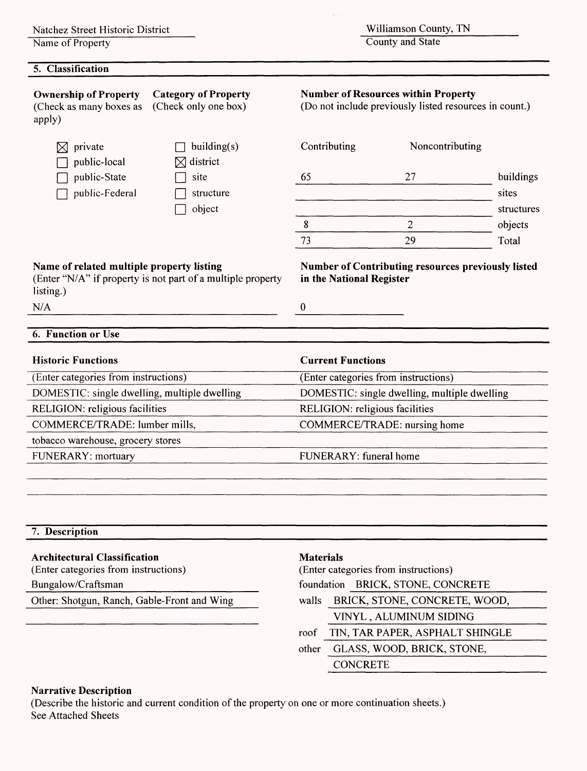Name of Property

#### **5. Classification**

Williamson County, TN

County and State

| <b>Ownership of Property</b><br>(Check as many boxes as<br>apply) | <b>Category of Property</b><br>(Check only one box)         | <b>Number of Resources within Property</b><br>(Do not include previously listed resources in count.) |                                              |            |  |  |
|-------------------------------------------------------------------|-------------------------------------------------------------|------------------------------------------------------------------------------------------------------|----------------------------------------------|------------|--|--|
| private<br>public-local                                           | building(s)<br>district<br>IXI                              | Contributing                                                                                         | Noncontributing                              |            |  |  |
| public-State                                                      | site                                                        | 65                                                                                                   | 27                                           | buildings  |  |  |
| public-Federal                                                    | structure                                                   |                                                                                                      |                                              | sites      |  |  |
|                                                                   | object                                                      |                                                                                                      |                                              | structures |  |  |
|                                                                   |                                                             | 8                                                                                                    | $\overline{c}$                               | objects    |  |  |
|                                                                   |                                                             | 73                                                                                                   | 29                                           | Total      |  |  |
| Name of related multiple property listing<br>listing.)            | (Enter "N/A" if property is not part of a multiple property | <b>Number of Contributing resources previously listed</b><br>in the National Register                |                                              |            |  |  |
| N/A                                                               |                                                             | 0                                                                                                    |                                              |            |  |  |
|                                                                   |                                                             |                                                                                                      |                                              |            |  |  |
| <b>6. Function or Use</b>                                         |                                                             |                                                                                                      |                                              |            |  |  |
| <b>Historic Functions</b>                                         |                                                             | <b>Current Functions</b>                                                                             |                                              |            |  |  |
| (Enter categories from instructions)                              |                                                             | (Enter categories from instructions)                                                                 |                                              |            |  |  |
| DOMESTIC: single dwelling, multiple dwelling                      |                                                             |                                                                                                      | DOMESTIC: single dwelling, multiple dwelling |            |  |  |
| RELIGION: religious facilities                                    |                                                             | RELIGION: religious facilities                                                                       |                                              |            |  |  |
| COMMERCE/TRADE: lumber mills,                                     |                                                             | COMMERCE/TRADE: nursing home                                                                         |                                              |            |  |  |
| tobacco warehouse, grocery stores                                 |                                                             |                                                                                                      |                                              |            |  |  |
| FUNERARY: mortuary                                                |                                                             | FUNERARY: funeral home                                                                               |                                              |            |  |  |
|                                                                   |                                                             |                                                                                                      |                                              |            |  |  |
|                                                                   |                                                             |                                                                                                      |                                              |            |  |  |
| 7. Description                                                    |                                                             |                                                                                                      |                                              |            |  |  |
| <b>Architectural Classification</b>                               |                                                             | <b>Materials</b>                                                                                     |                                              |            |  |  |
| (Enter categories from instructions)                              |                                                             | (Enter categories from instructions)                                                                 |                                              |            |  |  |
| Bungalow/Craftsman                                                |                                                             |                                                                                                      | foundation BRICK, STONE, CONCRETE            |            |  |  |

Other: Shotgun, Ranch, Gable-Front and Wing

walls BRICK, STONE, CONCRETE, WOOD, VINYL , ALUMINUM SIDING\_\_\_\_\_ roof TIN, TAR PAPER, ASPHALT SHINGLE other GLASS, WOOD, BRICK, STONE, CONCRETE

#### **Narrative Description**

(Describe the historic and current condition of the property on one or more continuation sheets.) See Attached Sheets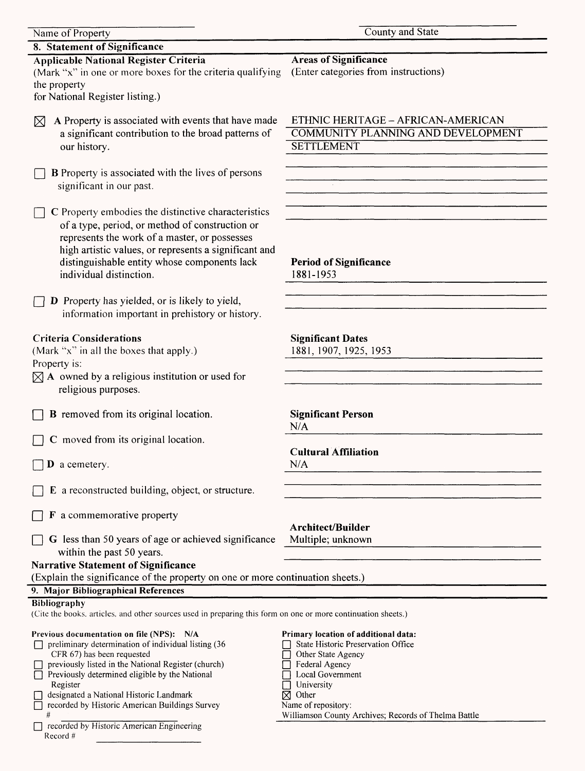| Name of Property                                                                                                              | County and State                                     |
|-------------------------------------------------------------------------------------------------------------------------------|------------------------------------------------------|
| 8. Statement of Significance                                                                                                  |                                                      |
| <b>Applicable National Register Criteria</b>                                                                                  | <b>Areas of Significance</b>                         |
| (Mark "x" in one or more boxes for the criteria qualifying                                                                    | (Enter categories from instructions)                 |
| the property                                                                                                                  |                                                      |
| for National Register listing.)                                                                                               |                                                      |
|                                                                                                                               |                                                      |
| A Property is associated with events that have made                                                                           | ETHNIC HERITAGE - AFRICAN-AMERICAN                   |
| $\boxtimes$                                                                                                                   | <b>COMMUNITY PLANNING AND DEVELOPMENT</b>            |
| a significant contribution to the broad patterns of                                                                           |                                                      |
| our history.                                                                                                                  | <b>SETTLEMENT</b>                                    |
|                                                                                                                               |                                                      |
| <b>B</b> Property is associated with the lives of persons                                                                     |                                                      |
| significant in our past.                                                                                                      |                                                      |
|                                                                                                                               |                                                      |
| C Property embodies the distinctive characteristics                                                                           |                                                      |
| of a type, period, or method of construction or                                                                               |                                                      |
| represents the work of a master, or possesses                                                                                 |                                                      |
| high artistic values, or represents a significant and                                                                         |                                                      |
| distinguishable entity whose components lack                                                                                  | <b>Period of Significance</b>                        |
| individual distinction.                                                                                                       | 1881-1953                                            |
|                                                                                                                               |                                                      |
| <b>D</b> Property has yielded, or is likely to yield,                                                                         |                                                      |
|                                                                                                                               |                                                      |
| information important in prehistory or history.                                                                               |                                                      |
|                                                                                                                               |                                                      |
| <b>Criteria Considerations</b>                                                                                                | <b>Significant Dates</b>                             |
| (Mark "x" in all the boxes that apply.)                                                                                       | 1881, 1907, 1925, 1953                               |
| Property is:                                                                                                                  |                                                      |
| $[\times]$ A owned by a religious institution or used for                                                                     |                                                      |
| religious purposes.                                                                                                           |                                                      |
|                                                                                                                               |                                                      |
| <b>B</b> removed from its original location.                                                                                  | <b>Significant Person</b>                            |
|                                                                                                                               | N/A                                                  |
| C moved from its original location.                                                                                           |                                                      |
|                                                                                                                               | <b>Cultural Affiliation</b>                          |
| $\mathbf D$ a cemetery.                                                                                                       | N/A                                                  |
|                                                                                                                               |                                                      |
| E a reconstructed building, object, or structure.                                                                             |                                                      |
|                                                                                                                               |                                                      |
| <b>F</b> a commemorative property                                                                                             |                                                      |
|                                                                                                                               | <b>Architect/Builder</b>                             |
| G less than 50 years of age or achieved significance                                                                          | Multiple; unknown                                    |
| within the past 50 years.                                                                                                     |                                                      |
| <b>Narrative Statement of Significance</b>                                                                                    |                                                      |
| (Explain the significance of the property on one or more continuation sheets.)                                                |                                                      |
| 9. Major Bibliographical References                                                                                           |                                                      |
|                                                                                                                               |                                                      |
| Bibliography<br>(Cite the books, articles, and other sources used in preparing this form on one or more continuation sheets.) |                                                      |
|                                                                                                                               |                                                      |
| Previous documentation on file (NPS): N/A                                                                                     | Primary location of additional data:                 |
| preliminary determination of individual listing (36                                                                           | State Historic Preservation Office                   |
| CFR 67) has been requested                                                                                                    | Other State Agency                                   |
| previously listed in the National Register (church)                                                                           | Federal Agency                                       |
| Previously determined eligible by the National<br>Register                                                                    | Local Government<br>University                       |
| designated a National Historic Landmark                                                                                       | $\boxtimes$ Other                                    |
| recorded by Historic American Buildings Survey                                                                                | Name of repository:                                  |
| #                                                                                                                             | Williamson County Archives; Records of Thelma Battle |
| recorded by Historic American Engineering                                                                                     |                                                      |

Record #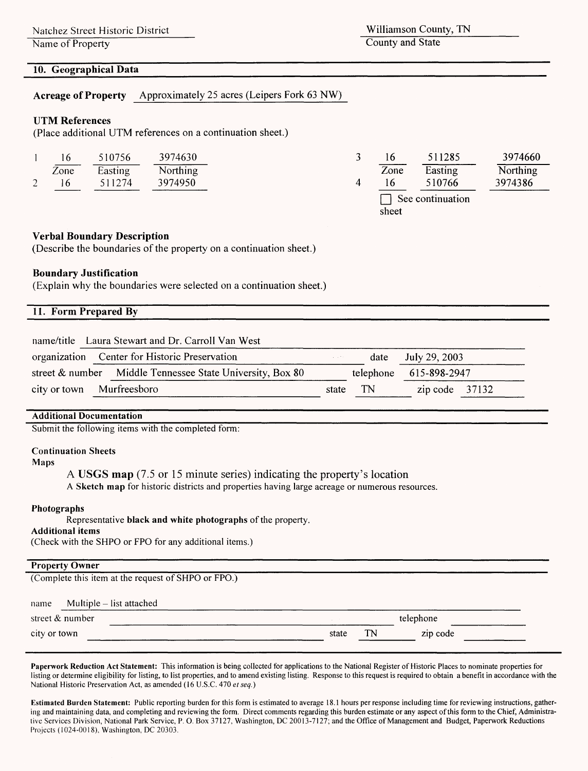Natchez Street Historic District

Name of Property

Williamson County, TN County and State

sheet

#### **10. Geographical Data**

**Acreage of Property** Approximately 25 acres (Leipers Fork 63 NW)

#### **UTM References**

(Place additional UTM references on a continuation sheet.)

| 16   | 510756  | 3974630         |      | 511285           | 3974660  |
|------|---------|-----------------|------|------------------|----------|
| Zone | Easting | <b>Northing</b> | Zone | Easting          | Northing |
| 16   | 511274  | 3974950         |      | 510766           | 3974386  |
|      |         |                 |      | See continuation |          |

#### **Verbal Boundary Description**

(Describe the boundaries of the property on a continuation sheet.)

#### **Boundary Justification**

(Explain why the boundaries were selected on a continuation sheet.)

| 11. Form Prepared By                                      |         |           |                  |  |
|-----------------------------------------------------------|---------|-----------|------------------|--|
| name/title Laura Stewart and Dr. Carroll Van West         |         |           |                  |  |
| organization Center for Historic Preservation             | and the | date      | July 29, 2003    |  |
| street & number Middle Tennessee State University, Box 80 |         | telephone | 615-898-2947     |  |
| Murfreesboro<br>city or town                              | state   | TN        | zip code $37132$ |  |

#### **Additional Documentation**

Submit the following items with the completed form:

#### **Continuation Sheets**

**Maps**

**A USGS map** (7.5 or 15 minute series) indicating the property's location

**A Sketch map** for historic districts and properties having large acreage or numerous resources.

#### **Photographs**

Representative **black and white photographs** of the property.

#### **Additional items**

(Check with the SHPO or FPO for any additional items.)

# Property Owner<br><u>Constitutions</u>

(Complete this item at the request of SHPO or FPO.)

|       |    | telephone |  |
|-------|----|-----------|--|
| state | TN | zip code  |  |
|       |    |           |  |

**Paperwork Reduction Act Statement:** This information is being collected for applications to the National Register of Historic Places to nominate properties for listing or determine eligibility for listing, to list properties, and to amend existing listing. Response to this request is required to obtain a benefit in accordance with the National Historic Preservation Act, as amended (16 U.S.C. 470 *et seq.)*

**Estimated Burden Statement:** Public reporting burden for this form is estimated to average 18.1 hours per response including time for reviewing instructions, gathering and maintaining data, and completing and reviewing the form. Direct comments regarding this burden estimate or any aspect of this form to the Chief, Administrative Services Division, National Park Service, P. O. Box 37127, Washington, DC 20013-7127; and the Office of Management and Budget, Paperwork Reductions Projects (1024-0018), Washington, DC 20303.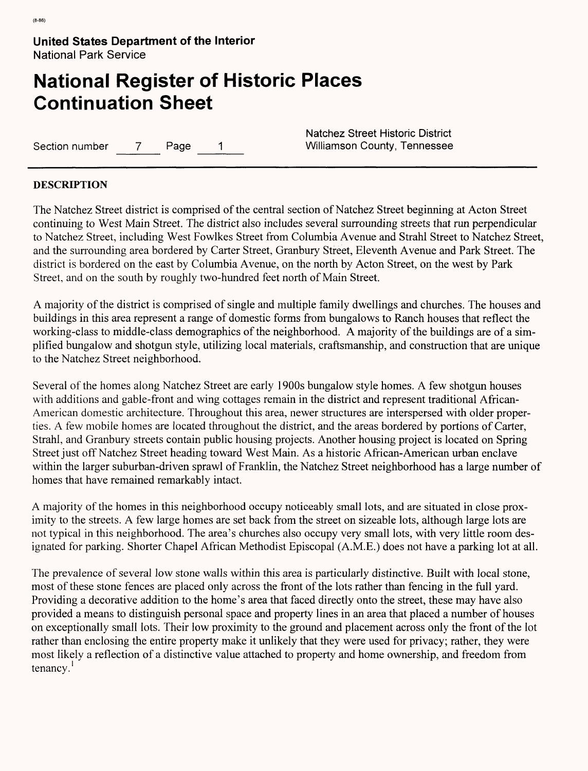# **National Register of Historic Places Continuation Sheet**

Section number 7 Page 1 Williamson County, Tennessee

Natchez Street Historic District

#### **DESCRIPTION**

The Natchez Street district is comprised of the central section of Natchez Street beginning at Acton Street continuing to West Main Street. The district also includes several surrounding streets that run perpendicular to Natchez Street, including West Fowlkes Street from Columbia Avenue and Strahl Street to Natchez Street, and the surrounding area bordered by Carter Street, Granbury Street, Eleventh Avenue and Park Street. The district is bordered on the east by Columbia Avenue, on the north by Acton Street, on the west by Park Street, and on the south by roughly two-hundred feet north of Main Street.

A majority of the district is comprised of single and multiple family dwellings and churches. The houses and buildings in this area represent a range of domestic forms from bungalows to Ranch houses that reflect the working-class to middle-class demographics of the neighborhood. A majority of the buildings are of a simplified bungalow and shotgun style, utilizing local materials, craftsmanship, and construction that are unique to the Natchez Street neighborhood.

Several of the homes along Natchez Street are early 1900s bungalow style homes. A few shotgun houses with additions and gable-front and wing cottages remain in the district and represent traditional African-American domestic architecture. Throughout this area, newer structures are interspersed with older properties. A few mobile homes are located throughout the district, and the areas bordered by portions of Carter, Strahl, and Granbury streets contain public housing projects. Another housing project is located on Spring Street just off Natchez Street heading toward West Main. As a historic African-American urban enclave within the larger suburban-driven sprawl of Franklin, the Natchez Street neighborhood has a large number of homes that have remained remarkably intact.

A majority of the homes in this neighborhood occupy noticeably small lots, and are situated in close proximity to the streets. A few large homes are set back from the street on sizeable lots, although large lots are not typical in this neighborhood. The area's churches also occupy very small lots, with very little room designated for parking. Shorter Chapel African Methodist Episcopal (A.M.E.) does not have a parking lot at all.

The prevalence of several low stone walls within this area is particularly distinctive. Built with local stone, most of these stone fences are placed only across the front of the lots rather than fencing in the full yard. Providing a decorative addition to the home's area that faced directly onto the street, these may have also provided a means to distinguish personal space and property lines in an area that placed a number of houses on exceptionally small lots. Their low proximity to the ground and placement across only the front of the lot rather than enclosing the entire property make it unlikely that they were used for privacy; rather, they were most likely a reflection of a distinctive value attached to property and home ownership, and freedom from tenancy.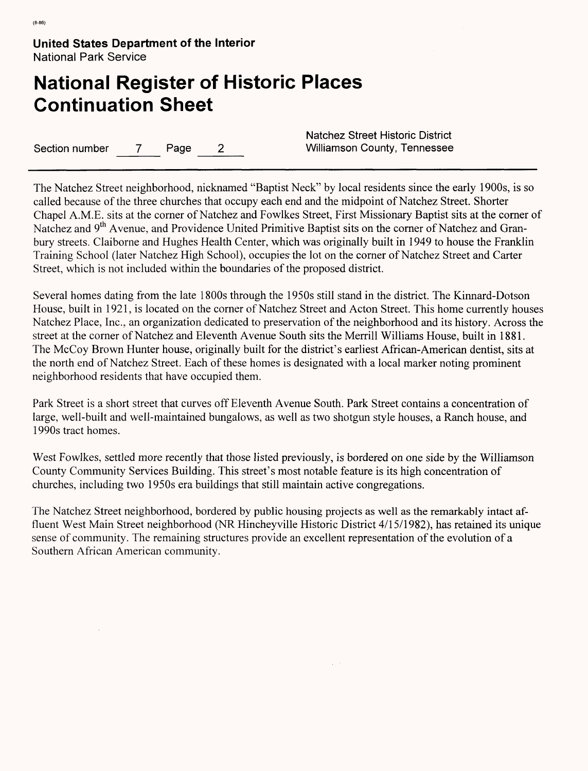# **National Register of Historic Places Continuation Sheet**

Section number 7 Page 2 Williamson County, Tennessee

Natchez Street Historic District

The Natchez Street neighborhood, nicknamed "Baptist Neck" by local residents since the early 1900s, is so called because of the three churches that occupy each end and the midpoint of Natchez Street. Shorter Chapel A.M.E. sits at the corner of Natchez and Fowlkes Street, First Missionary Baptist sits at the corner of Natchez and 9<sup>th</sup> Avenue, and Providence United Primitive Baptist sits on the corner of Natchez and Granbury streets. Claiborne and Hughes Health Center, which was originally built in 1949 to house the Franklin Training School (later Natchez High School), occupies-the lot on the corner of Natchez Street and Carter Street, which is not included within the boundaries of the proposed district.

Several homes dating from the late 1800s through the 1950s still stand in the district. The Kinnard-Dotson House, built in 1921, is located on the corner of Natchez Street and Acton Street. This home currently houses Natchez Place, Inc., an organization dedicated to preservation of the neighborhood and its history. Across the street at the corner of Natchez and Eleventh Avenue South sits the Merrill Williams House, built in 1881. The McCoy Brown Hunter house, originally built for the district's earliest African-American dentist, sits at the north end of Natchez Street. Each of these homes is designated with a local marker noting prominent neighborhood residents that have occupied them.

Park Street is a short street that curves off Eleventh Avenue South. Park Street contains a concentration of large, well-built and well-maintained bungalows, as well as two shotgun style houses, a Ranch house, and 1990s tract homes.

West Fowlkes, settled more recently that those listed previously, is bordered on one side by the Williamson County Community Services Building. This street's most notable feature is its high concentration of churches, including two 1950s era buildings that still maintain active congregations.

The Natchez Street neighborhood, bordered by public housing projects as well as the remarkably intact affluent West Main Street neighborhood (NR Hincheyville Historic District 4/15/1982), has retained its unique sense of community. The remaining structures provide an excellent representation of the evolution of a Southern African American community.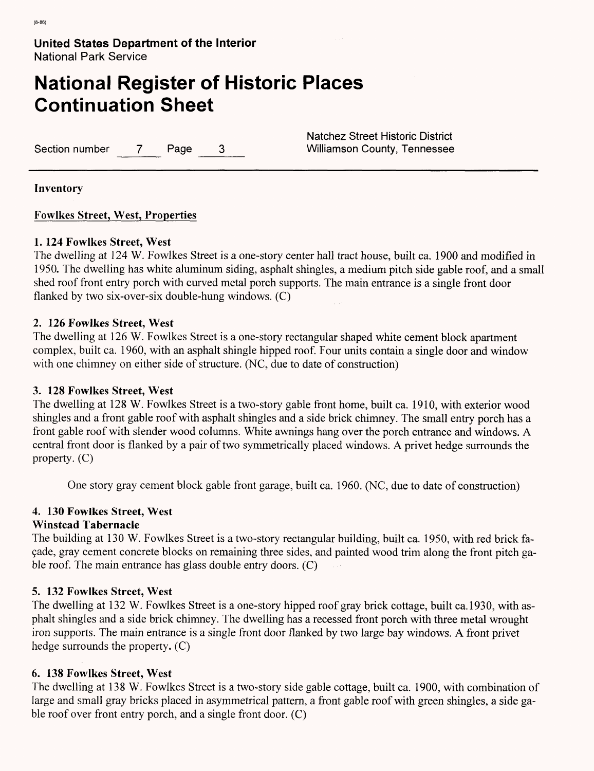# **National Register of Historic Places Continuation Sheet**

Section number 7 Page 3 Williamson County, Tennessee

Natchez Street Historic District

**Inventory**

**Fowlkes Street, West, Properties**

### **1. 124 Fowlkes Street, West**

The dwelling at 124 W. Fowlkes Street is a one-story center hall tract house, built ca. 1900 and modified in 1950. The dwelling has white aluminum siding, asphalt shingles, a medium pitch side gable roof, and a small shed roof front entry porch with curved metal porch supports. The main entrance is a single front door flanked by two six-over-six double-hung windows. (C)

### **2. 126 Fowlkes Street, West**

The dwelling at 126 W. Fowlkes Street is a one-story rectangular shaped white cement block apartment complex, built ca. 1960, with an asphalt shingle hipped roof. Four units contain a single door and window with one chimney on either side of structure. (NC, due to date of construction)

### **3. 128 Fowlkes Street, West**

The dwelling at 128 W. Fowlkes Street is a two-story gable front home, built ca. 1910, with exterior wood shingles and a front gable roof with asphalt shingles and a side brick chimney. The small entry porch has a front gable roof with slender wood columns. White awnings hang over the porch entrance and windows. A central front door is flanked by a pair of two symmetrically placed windows. A privet hedge surrounds the property. (C)

One story gray cement block gable front garage, built ca. 1960. (NC, due to date of construction)

# **4. 130 Fowlkes Street, West**

#### **Winstead Tabernacle**

The building at 130 W. Fowlkes Street is a two-story rectangular building, built ca. 1950, with red brick fa-9ade, gray cement concrete blocks on remaining three sides, and painted wood trim along the front pitch gable roof. The main entrance has glass double entry doors. (C)

#### **5. 132 Fowlkes Street, West**

The dwelling at 132 W. Fowlkes Street is a one-story hipped roof gray brick cottage, built ca.1930, with asphalt shingles and a side brick chimney. The dwelling has a recessed front porch with three metal wrought iron supports. The main entrance is a single front door flanked by two large bay windows. A front privet hedge surrounds the property. (C)

# **6. 138 Fowlkes Street, West**

The dwelling at 138 W. Fowlkes Street is a two-story side gable cottage, built ca. 1900, with combination of large and small gray bricks placed in asymmetrical pattern, a front gable roof with green shingles, a side gable roof over front entry porch, and a single front door. (C)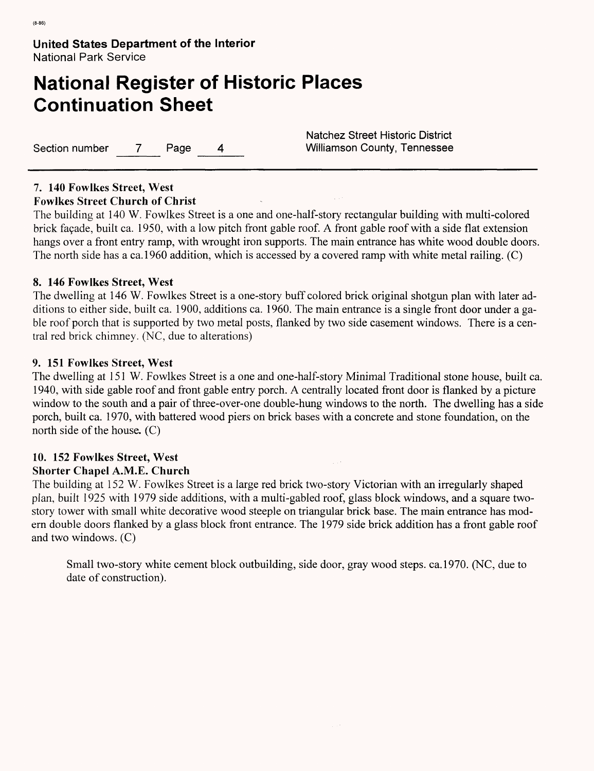# **National Register of Historic Places Continuation Sheet**

Section number 7 Page 4 Williamson County, Tennessee

Natchez Street Historic District

# **7. 140 Fowlkes Street, West**

#### **Fowlkes Street Church of Christ**

The building at 140 W. Fowlkes Street is a one and one-half-story rectangular building with multi-colored brick façade, built ca. 1950, with a low pitch front gable roof. A front gable roof with a side flat extension hangs over a front entry ramp, with wrought iron supports. The main entrance has white wood double doors. The north side has a ca.1960 addition, which is accessed by a covered ramp with white metal railing. (C)

# **8. 146 Fowlkes Street, West**

The dwelling at 146 W. Fowlkes Street is a one-story buff colored brick original shotgun plan with later additions to either side, built ca. 1900, additions ca. 1960. The main entrance is a single front door under a gable roof porch that is supported by two metal posts, flanked by two side casement windows. There is a central red brick chimney. (NC, due to alterations)

### **9. 151 Fowlkes Street, West**

The dwelling at 151 W. Fowlkes Street is a one and one-half-story Minimal Traditional stone house, built ca. 1940, with side gable roof and front gable entry porch. A centrally located front door is flanked by a picture window to the south and a pair of three-over-one double-hung windows to the north. The dwelling has a side porch, built ca. 1970, with battered wood piers on brick bases with a concrete and stone foundation, on the north side of the house. (C)

# **10. 152 Fowlkes Street, West**

# **Shorter Chapel** A.M.E. **Church**

The building at 152 W. Fowlkes Street is a large red brick two-story Victorian with an irregularly shaped plan, built 1925 with 1979 side additions, with a multi-gabled roof, glass block windows, and a square twostory tower with small white decorative wood steeple on triangular brick base. The main entrance has modern double doors flanked by a glass block front entrance. The 1979 side brick addition has a front gable roof and two windows. (C)

Small two-story white cement block outbuilding, side door, gray wood steps, ca.1970. (NC, due to date of construction).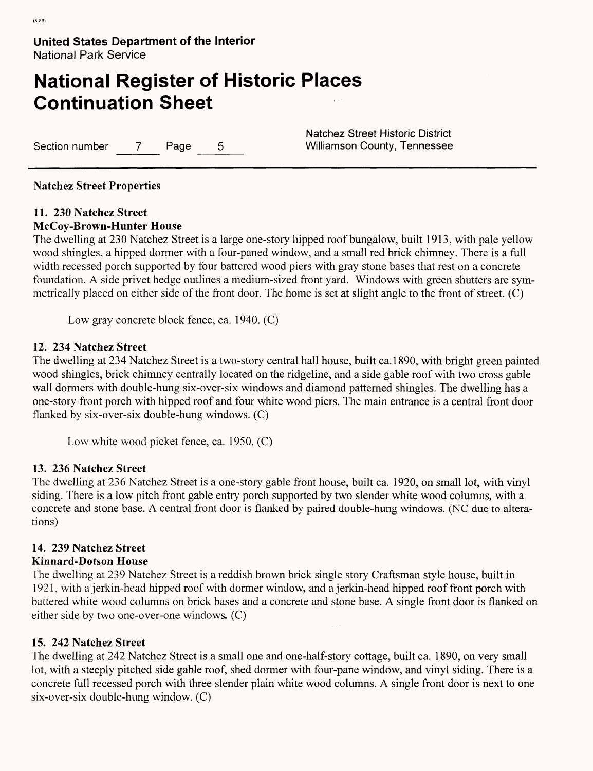# **National Register of Historic Places Continuation Sheet**

Section number 7 Page 5 Williamson County, Tennessee

Natchez Street Historic District

#### **Natchez Street Properties**

# **11. 230 Natchez Street**

#### **McCoy-Brown-Hunter House**

The dwelling at 230 Natchez Street is a large one-story hipped roof bungalow, built 1913, with pale yellow wood shingles, a hipped dormer with a four-paned window, and a small red brick chimney. There is a full width recessed porch supported by four battered wood piers with gray stone bases that rest on a concrete foundation. A side privet hedge outlines a medium-sized front yard. Windows with green shutters are symmetrically placed on either side of the front door. The home is set at slight angle to the front of street. (C)

Low gray concrete block fence, ca. 1940. (C)

### **12. 234 Natchez Street**

The dwelling at 234 Natchez Street is a two-story central hall house, built ca.1890, with bright green painted wood shingles, brick chimney centrally located on the ridgeline, and a side gable roof with two cross gable wall dormers with double-hung six-over-six windows and diamond patterned shingles. The dwelling has a one-story front porch with hipped roof and four white wood piers. The main entrance is a central front door flanked by six-over-six double-hung windows. (C)

Low white wood picket fence, ca. 1950. (C)

#### **13. 236 Natchez Street**

The dwelling at 236 Natchez Street is a one-story gable front house, built ca. 1920, on small lot, with vinyl siding. There is a low pitch front gable entry porch supported by two slender white wood columns, with a concrete and stone base. A central front door is flanked by paired double-hung windows. (NC due to alterations)

# **14. 239 Natchez Street**

#### **Kinnard-Dotson House**

The dwelling at 239 Natchez Street is a reddish brown brick single story Craftsman style house, built in 1921, with a jerkin-head hipped roof with dormer window, and a jerkin-head hipped roof front porch with battered white wood columns on brick bases and a concrete and stone base. A single front door is flanked on either side by two one-over-one windows. (C)

# **15. 242 Natchez Street**

The dwelling at 242 Natchez Street is a small one and one-half-story cottage, built ca. 1890, on very small lot, with a steeply pitched side gable roof, shed dormer with four-pane window, and vinyl siding. There is a concrete full recessed porch with three slender plain white wood columns. A single front door is next to one six-over-six double-hung window. (C)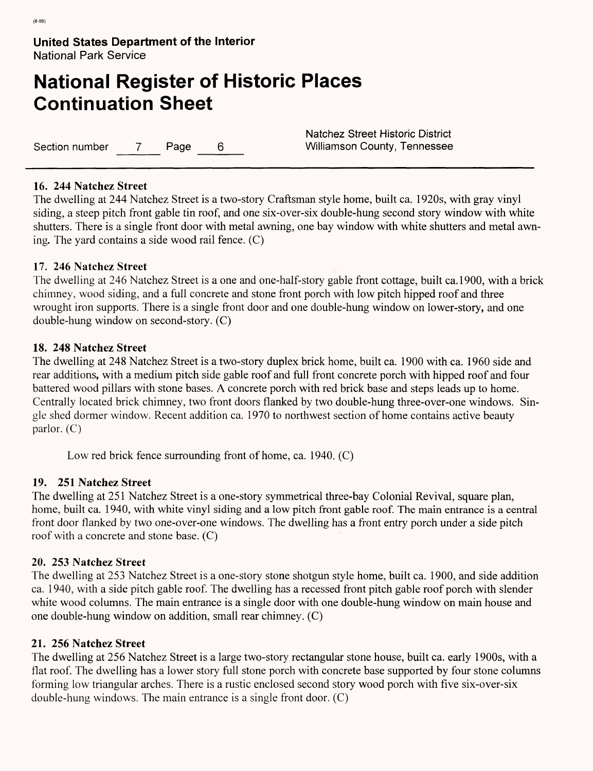# **National Register of Historic Places Continuation Sheet**

Section number 7 Page 6 Williamson County, Tennessee

Natchez Street Historic District

# **16. 244 Natchez Street**

The dwelling at 244 Natchez Street is a two-story Craftsman style home, built ca. 1920s, with gray vinyl siding, a steep pitch front gable tin roof, and one six-over-six double-hung second story window with white shutters. There is a single front door with metal awning, one bay window with white shutters and metal awning. The yard contains a side wood rail fence. (C)

# **17. 246 Natchez Street**

The dwelling at 246 Natchez Street is a one and one-half-story gable front cottage, built ca.1900, with a brick chimney, wood siding, and a full concrete and stone front porch with low pitch hipped roof and three wrought iron supports. There is a single front door and one double-hung window on lower-story, and one double-hung window on second-story. (C)

# **18. 248 Natchez Street**

The dwelling at 248 Natchez Street is a two-story duplex brick home, built ca. 1900 with ca. 1960 side and rear additions, with a medium pitch side gable roof and full front concrete porch with hipped roof and four battered wood pillars with stone bases. A concrete porch with red brick base and steps leads up to home. Centrally located brick chimney, two front doors flanked by two double-hung three-over-one windows. Single shed dormer window. Recent addition ca. 1970 to northwest section of home contains active beauty parlor. (C)

Low red brick fence surrounding front of home, ca. 1940. (C)

# **19. 251 Natchez Street**

The dwelling at 251 Natchez Street is a one-story symmetrical three-bay Colonial Revival, square plan, home, built ca. 1940, with white vinyl siding and a low pitch front gable roof. The main entrance is a central front door flanked by two one-over-one windows. The dwelling has a front entry porch under a side pitch roof with a concrete and stone base. (C)

# **20. 253 Natchez Street**

The dwelling at 253 Natchez Street is a one-story stone shotgun style home, built ca. 1900, and side addition ca. 1940, with a side pitch gable roof. The dwelling has a recessed front pitch gable roof porch with slender white wood columns. The main entrance is a single door with one double-hung window on main house and one double-hung window on addition, small rear chimney. (C)

# **21. 256 Natchez Street**

The dwelling at 256 Natchez Street is a large two-story rectangular stone house, built ca. early 1900s, with a flat roof. The dwelling has a lower story full stone porch with concrete base supported by four stone columns forming low triangular arches. There is a rustic enclosed second story wood porch with five six-over-six double-hung windows. The main entrance is a single front door. (C)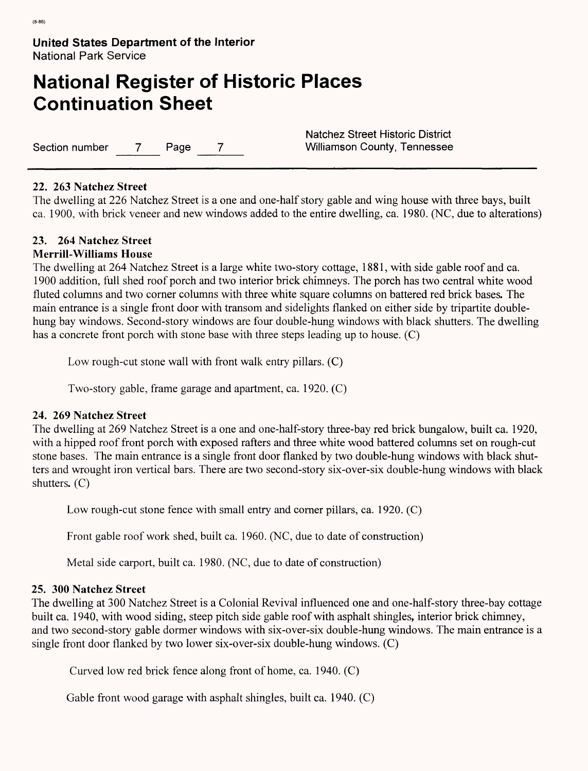# **National Register of Historic Places Continuation Sheet**

Section number 7 Page 7 Williamson County, Tennessee

Natchez Street Historic District

### 22. **263 Natchez Street**

The dwelling at 226 Natchez Street is a one and one-half story gable and wing house with three bays, built ca. 1900, with brick veneer and new windows added to the entire dwelling, ca. 1980. (NC, due to alterations)

# **23. 264 Natchez Street**

### **Merrill-Williams House**

The dwelling at 264 Natchez Street is a large white two-story cottage, 1881, with side gable roof and ca. 1900 addition, full shed roof porch and two interior brick chimneys. The porch has two central white wood fluted columns and two corner columns with three white square columns on battered red brick bases. The main entrance is a single front door with transom and sidelights flanked on either side by tripartite doublehung bay windows. Second-story windows are four double-hung windows with black shutters. The dwelling has a concrete front porch with stone base with three steps leading up to house. (C)

Low rough-cut stone wall with front walk entry pillars. (C)

Two-story gable, frame garage and apartment, ca. 1920. (C)

#### **24. 269 Natchez Street**

The dwelling at 269 Natchez Street is a one and one-half-story three-bay red brick bungalow, built ca. 1920, with a hipped roof front porch with exposed rafters and three white wood battered columns set on rough-cut stone bases. The main entrance is a single front door flanked by two double-hung windows with black shutters and wrought iron vertical bars. There are two second-story six-over-six double-hung windows with black shutters. (C)

Low rough-cut stone fence with small entry and corner pillars, ca. 1920. (C)

Front gable roof work shed, built ca. 1960. (NC, due to date of construction)

Metal side carport, built ca. 1980. (NC, due to date of construction)

# **25. 300 Natchez Street**

The dwelling at 300 Natchez Street is a Colonial Revival influenced one and one-half-story three-bay cottage built ca. 1940, with wood siding, steep pitch side gable roof with asphalt shingles, interior brick chimney, and two second-story gable dormer windows with six-over-six double-hung windows. The main entrance is a single front door flanked by two lower six-over-six double-hung windows. (C)

Curved low red brick fence along front of home, ca. 1940. (C)

Gable front wood garage with asphalt shingles, built ca. 1940. (C)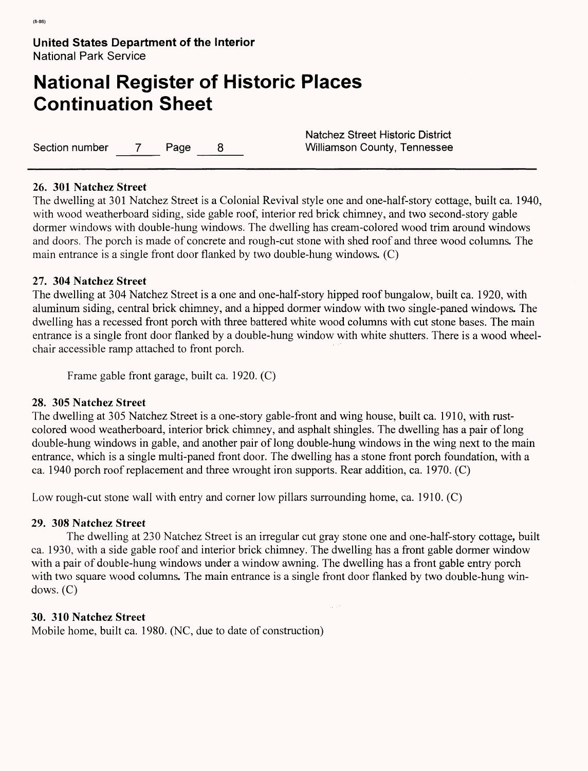# **National Register of Historic Places Continuation Sheet**

Section number 7 Page 8 Williamson County, Tennessee

Natchez Street Historic District

# **26. 301 Natchez Street**

The dwelling at 301 Natchez Street is a Colonial Revival style one and one-half-story cottage, built ca. 1940, with wood weatherboard siding, side gable roof, interior red brick chimney, and two second-story gable dormer windows with double-hung windows. The dwelling has cream-colored wood trim around windows and doors. The porch is made of concrete and rough-cut stone with shed roof and three wood columns. The main entrance is a single front door flanked by two double-hung windows. (C)

### **27. 304 Natchez Street**

The dwelling at 304 Natchez Street is a one and one-half-story hipped roof bungalow, built ca. 1920, with aluminum siding, central brick chimney, and a hipped dormer window with two single-paned windows. The dwelling has a recessed front porch with three battered white wood columns with cut stone bases. The main entrance is a single front door flanked by a double-hung window with white shutters. There is a wood wheelchair accessible ramp attached to front porch.

Frame gable front garage, built ca. 1920. (C)

# **28. 305 Natchez Street**

The dwelling at 305 Natchez Street is a one-story gable-front and wing house, built ca. 1910, with rustcolored wood weatherboard, interior brick chimney, and asphalt shingles. The dwelling has a pair of long double-hung windows in gable, and another pair of long double-hung windows in the wing next to the main entrance, which is a single multi-paned front door. The dwelling has a stone front porch foundation, with a ca. 1940 porch roof replacement and three wrought iron supports. Rear addition, ca. 1970. (C)

Low rough-cut stone wall with entry and corner low pillars surrounding home, ca. 1910. (C)

#### **29. 308 Natchez Street**

The dwelling at 230 Natchez Street is an irregular cut gray stone one and one-half-story cottage, built ca. 1930, with a side gable roof and interior brick chimney. The dwelling has a front gable dormer window with a pair of double-hung windows under a window awning. The dwelling has a front gable entry porch with two square wood columns. The main entrance is a single front door flanked by two double-hung windows. (C)

# **30. 310 Natchez Street**

Mobile home, built ca. 1980. (NC, due to date of construction)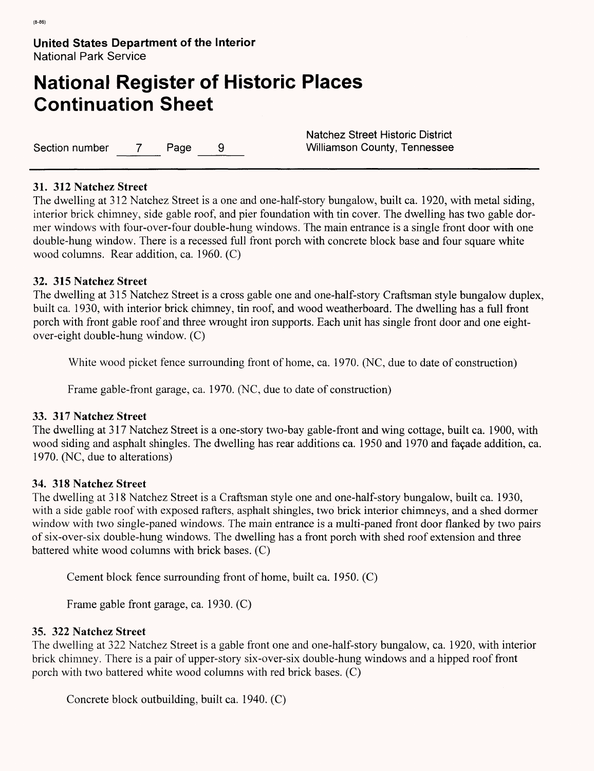# **National Register of Historic Places Continuation Sheet**

Section number 7 Page 9 Williamson County, Tennessee

Natchez Street Historic District

# **31. 312 Natchez Street**

The dwelling at 312 Natchez Street is a one and one-half-story bungalow, built ca. 1920, with metal siding, interior brick chimney, side gable roof, and pier foundation with tin cover. The dwelling has two gable dormer windows with four-over-four double-hung windows. The main entrance is a single front door with one double-hung window. There is a recessed full front porch with concrete block base and four square white wood columns. Rear addition, ca. 1960. (C)

# **32. 315 Natchez Street**

The dwelling at 315 Natchez Street is a cross gable one and one-half-story Craftsman style bungalow duplex, built ca. 1930, with interior brick chimney, tin roof, and wood weatherboard. The dwelling has a full front porch with front gable roof and three wrought iron supports. Each unit has single front door and one eightover-eight double-hung window. (C)

White wood picket fence surrounding front of home, ca. 1970. (NC, due to date of construction)

Frame gable-front garage, ca. 1970. (NC, due to date of construction)

# **33. 317 Natchez Street**

The dwelling at 317 Natchez Street is a one-story two-bay gable-front and wing cottage, built ca. 1900, with wood siding and asphalt shingles. The dwelling has rear additions ca. 1950 and 1970 and fagade addition, ca. 1970. (NC, due to alterations)

# **34. 318 Natchez Street**

The dwelling at 318 Natchez Street is a Craftsman style one and one-half-story bungalow, built ca. 1930, with a side gable roof with exposed rafters, asphalt shingles, two brick interior chimneys, and a shed dormer window with two single-paned windows. The main entrance is a multi-paned front door flanked by two pairs of six-over-six double-hung windows. The dwelling has a front porch with shed roof extension and three battered white wood columns with brick bases. (C)

Cement block fence surrounding front of home, built ca. 1950. (C)

Frame gable front garage, ca. 1930. (C)

# **35. 322 Natchez Street**

The dwelling at 322 Natchez Street is a gable front one and one-half-story bungalow, ca. 1920, with interior brick chimney. There is a pair of upper-story six-over-six double-hung windows and a hipped roof front porch with two battered white wood columns with red brick bases. (C)

Concrete block outbuilding, built ca. 1940. (C)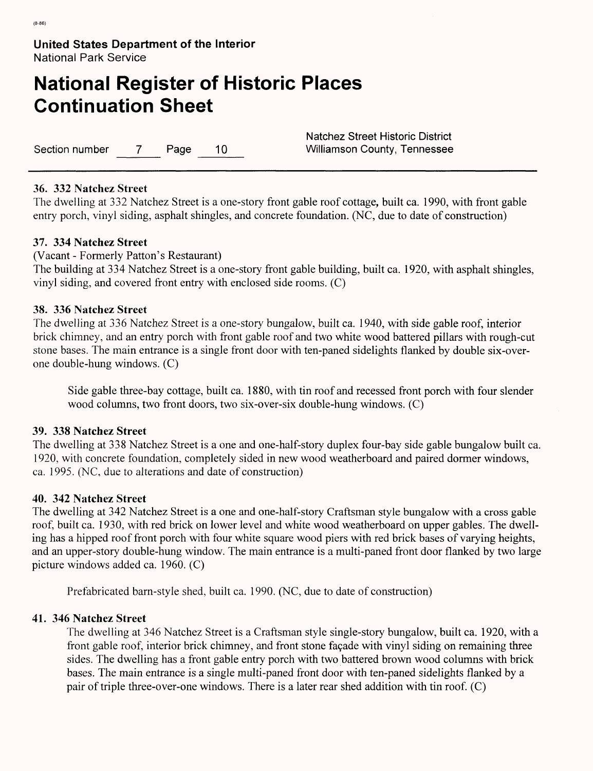# **National Register of Historic Places Continuation Sheet**

Section number 7 Page 10 Williamson County, Tennessee

Natchez Street Historic District

### **36. 332 Natchez Street**

The dwelling at 332 Natchez Street is a one-story front gable roof cottage, built ca. 1990, with front gable entry porch, vinyl siding, asphalt shingles, and concrete foundation. (NC, due to date of construction)

### **37. 334 Natchez Street**

(Vacant - Formerly Patton's Restaurant)

The building at 334 Natchez Street is a one-story front gable building, built ca. 1920, with asphalt shingles, vinyl siding, and covered front entry with enclosed side rooms. (C)

### **38. 336 Natchez Street**

The dwelling at 336 Natchez Street is a one-story bungalow, built ca. 1940, with side gable roof, interior brick chimney, and an entry porch with front gable roof and two white wood battered pillars with rough-cut stone bases. The main entrance is a single front door with ten-paned sidelights flanked by double six-overone double-hung windows. (C)

Side gable three-bay cottage, built ca. 1880, with tin roof and recessed front porch with four slender wood columns, two front doors, two six-over-six double-hung windows. (C)

#### **39. 338 Natchez Street**

The dwelling at 338 Natchez Street is a one and one-half-story duplex four-bay side gable bungalow built ca. 1920, with concrete foundation, completely sided in new wood weatherboard and paired dormer windows, ca. 1995. (NC, due to alterations and date of construction)

#### **40. 342 Natchez Street**

The dwelling at 342 Natchez Street is a one and one-half-story Craftsman style bungalow with a cross gable roof, built ca. 1930, with red brick on lower level and white wood weatherboard on upper gables. The dwelling has a hipped roof front porch with four white square wood piers with red brick bases of varying heights, and an upper-story double-hung window. The main entrance is a multi-paned front door flanked by two large picture windows added ca. 1960. (C)

Prefabricated barn-style shed, built ca. 1990. (NC, due to date of construction)

#### **41. 346 Natchez Street**

The dwelling at 346 Natchez Street is a Craftsman style single-story bungalow, built ca. 1920, with a front gable roof, interior brick chimney, and front stone façade with vinyl siding on remaining three sides. The dwelling has a front gable entry porch with two battered brown wood columns with brick bases. The main entrance is a single multi-paned front door with ten-paned sidelights flanked by a pair of triple three-over-one windows. There is a later rear shed addition with tin roof. (C)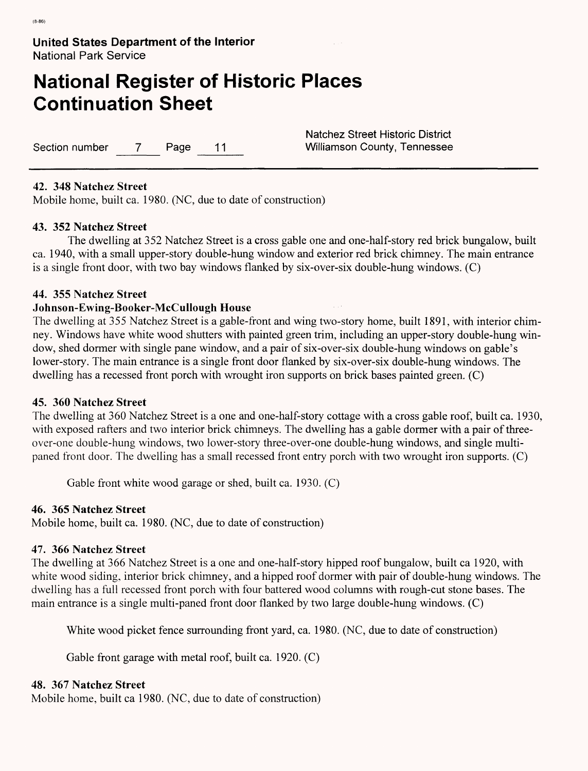# **National Register of Historic Places Continuation Sheet**

Section number 7 Page 11 Williamson County, Tennessee

Natchez Street Historic District

### **42. 348 Natchez Street**

Mobile home, built ca. 1980. (NC, due to date of construction)

### **43. 352 Natchez Street**

The dwelling at 352 Natchez Street is a cross gable one and one-half-story red brick bungalow, built ca. 1940, with a small upper-story double-hung window and exterior red brick chimney. The main entrance is a single front door, with two bay windows flanked by six-over-six double-hung windows. (C)

### **44. 355 Natchez Street**

### **Johnson-Ewing-Booker-McCullough House**

The dwelling at 355 Natchez Street is a gable-front and wing two-story home, built 1891, with interior chimney. Windows have white wood shutters with painted green trim, including an upper-story double-hung window, shed dormer with single pane window, and a pair of six-over-six double-hung windows on gable's lower-story. The main entrance is a single front door flanked by six-over-six double-hung windows. The dwelling has a recessed front porch with wrought iron supports on brick bases painted green. (C)

#### **45. 360 Natchez Street**

The dwelling at 360 Natchez Street is a one and one-half-story cottage with a cross gable roof, built ca. 1930, with exposed rafters and two interior brick chimneys. The dwelling has a gable dormer with a pair of threeover-one double-hung windows, two lower-story three-over-one double-hung windows, and single multipaned front door. The dwelling has a small recessed front entry porch with two wrought iron supports. (C)

Gable front white wood garage or shed, built ca. 1930. (C)

#### **46. 365 Natchez Street**

Mobile home, built ca. 1980. (NC, due to date of construction)

#### **47. 366 Natchez Street**

The dwelling at 366 Natchez Street is a one and one-half-story hipped roof bungalow, built ca 1920, with white wood siding, interior brick chimney, and a hipped roof dormer with pair of double-hung windows. The dwelling has a full recessed front porch with four battered wood columns with rough-cut stone bases. The main entrance is a single multi-paned front door flanked by two large double-hung windows. (C)

White wood picket fence surrounding front yard, ca. 1980. (NC, due to date of construction)

Gable front garage with metal roof, built ca. 1920. (C)

#### **48. 367 Natchez Street**

Mobile home, built ca 1980. (NC, due to date of construction)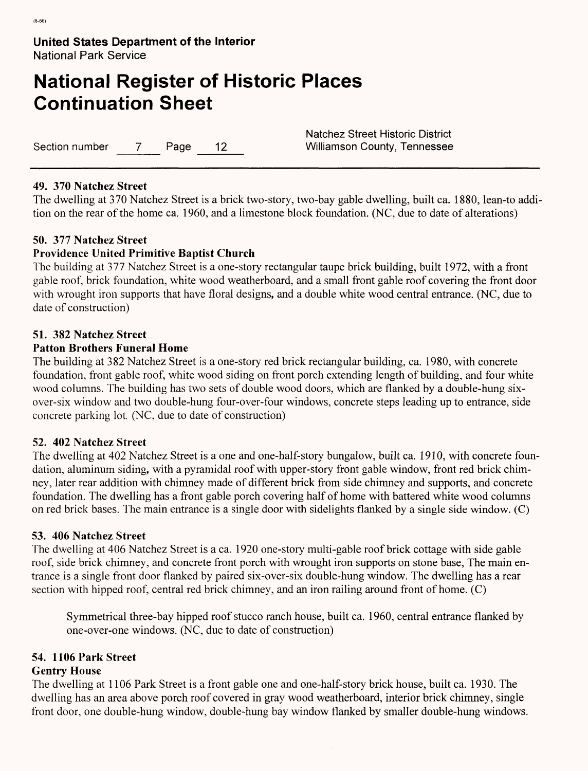# **National Register of Historic Places Continuation Sheet**

Section number 7 Page 12 Williamson County, Tennessee

Natchez Street Historic District

# **49. 370 Natchez Street**

The dwelling at 370 Natchez Street is a brick two-story, two-bay gable dwelling, built ca. 1880, lean-to addition on the rear of the home ca. 1960, and a limestone block foundation. (NC, due to date of alterations)

# **50. 377 Natchez Street**

# **Providence United Primitive Baptist Church**

The building at 377 Natchez Street is a one-story rectangular taupe brick building, built 1972, with a front gable roof, brick foundation, white wood weatherboard, and a small front gable roof covering the front door with wrought iron supports that have floral designs, and a double white wood central entrance. (NC, due to date of construction)

### **51. 382 Natchez Street**

### **Patton Brothers Funeral Home**

The building at 382 Natchez Street is a one-story red brick rectangular building, ca. 1980, with concrete foundation, front gable roof, white wood siding on front porch extending length of building, and four white wood columns. The building has two sets of double wood doors, which are flanked by a double-hung sixover-six window and two double-hung four-over-four windows, concrete steps leading up to entrance, side concrete parking lot. (NC, due to date of construction)

# 52. **402 Natchez Street**

The dwelling at 402 Natchez Street is a one and one-half-story bungalow, built ca. 1910, with concrete foundation, aluminum siding, with a pyramidal roof with upper-story front gable window, front red brick chimney, later rear addition with chimney made of different brick from side chimney and supports, and concrete foundation. The dwelling has a front gable porch covering half of home with battered white wood columns on red brick bases. The main entrance is a single door with sidelights flanked by a single side window. (C)

#### **53. 406 Natchez Street**

The dwelling at 406 Natchez Street is a ca. 1920 one-story multi-gable roof brick cottage with side gable roof, side brick chimney, and concrete front porch with wrought iron supports on stone base, The main entrance is a single front door flanked by paired six-over-six double-hung window. The dwelling has a rear section with hipped roof, central red brick chimney, and an iron railing around front of home. (C)

Symmetrical three-bay hipped roof stucco ranch house, built ca. 1960, central entrance flanked by one-over-one windows. (NC, due to date of construction)

 $\varphi$  ,  $\varphi$ 

# **54. 1106 Park Street**

# **Gentry House**

The dwelling at 1106 Park Street is a front gable one and one-half-story brick house, built ca. 1930. The dwelling has an area above porch roof covered in gray wood weatherboard, interior brick chimney, single front door, one double-hung window, double-hung bay window flanked by smaller double-hung windows.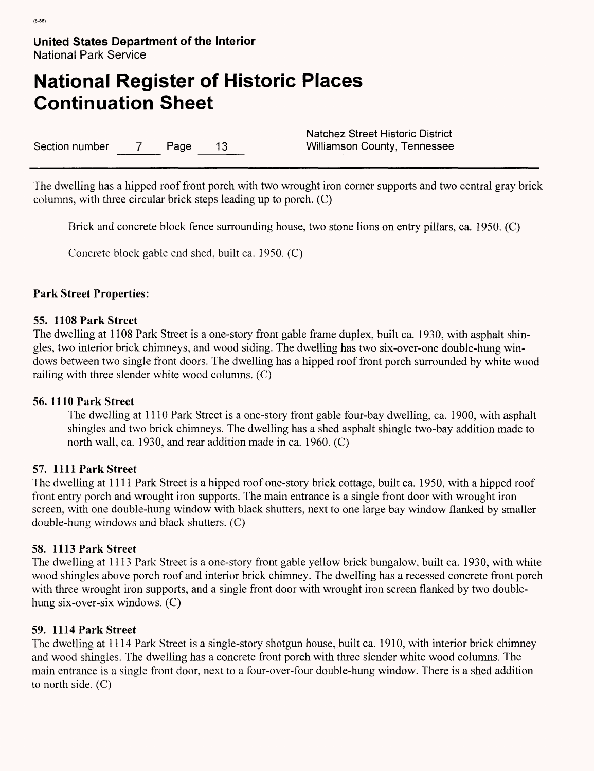# **National Register of Historic Places Continuation Sheet**

Section number 7 Page 13 Williamson County, Tennessee

Natchez Street Historic District

The dwelling has a hipped roof front porch with two wrought iron corner supports and two central gray brick columns, with three circular brick steps leading up to porch. (C)

Brick and concrete block fence surrounding house, two stone lions on entry pillars, ca. 1950. (C)

Concrete block gable end shed, built ca. 1950. (C)

# **Park Street Properties:**

# 55. **1108 Park Street**

The dwelling at 1108 Park Street is a one-story front gable frame duplex, built ca. 1930, with asphalt shingles, two interior brick chimneys, and wood siding. The dwelling has two six-over-one double-hung windows between two single front doors. The dwelling has a hipped roof front porch surrounded by white wood railing with three slender white wood columns. (C)

# **56. 1110 Park Street**

The dwelling at 1110 Park Street is a one-story front gable four-bay dwelling, ca. 1900, with asphalt shingles and two brick chimneys. The dwelling has a shed asphalt shingle two-bay addition made to north wall, ca. 1930, and rear addition made in ca. 1960. (C)

# 57. **1111 Park Street**

The dwelling at 1111 Park Street is a hipped roof one-story brick cottage, built ca. 1950, with a hipped roof front entry porch and wrought iron supports. The main entrance is a single front door with wrought iron screen, with one double-hung window with black shutters, next to one large bay window flanked by smaller double-hung windows and black shutters. (C)

#### **58. 1113 Park Street**

The dwelling at 1113 Park Street is a one-story front gable yellow brick bungalow, built ca. 1930, with white wood shingles above porch roof and interior brick chimney. The dwelling has a recessed concrete front porch with three wrought iron supports, and a single front door with wrought iron screen flanked by two doublehung six-over-six windows. (C)

# **59. 1114 Park Street**

The dwelling at 1114 Park Street is a single-story shotgun house, built ca. 1910, with interior brick chimney and wood shingles. The dwelling has a concrete front porch with three slender white wood columns. The main entrance is a single front door, next to a four-over-four double-hung window. There is a shed addition to north side. (C)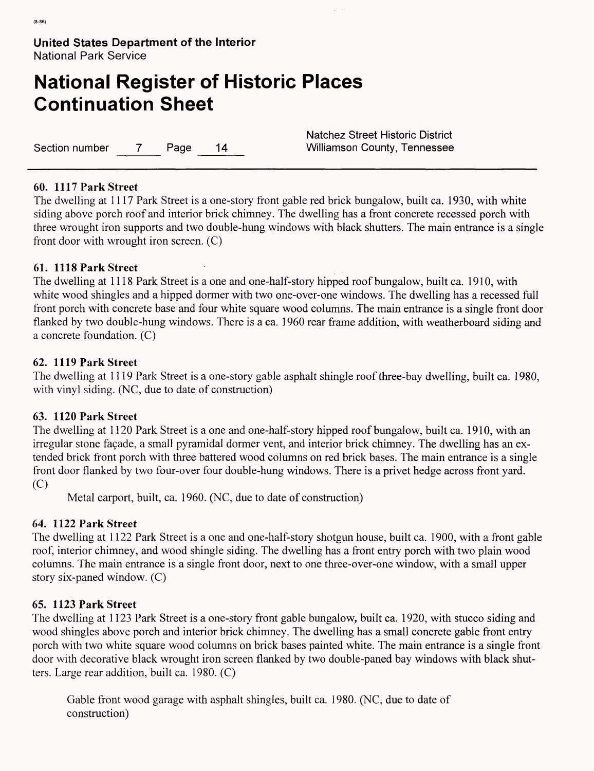# **National Register of Historic Places Continuation Sheet**

Section number 7 Page 14 Williamson County, Tennessee

Natchez Street Historic District

### **60. 1117 Park Street**

The dwelling at 1117 Park Street is a one-story front gable red brick bungalow, built ca. 1930, with white siding above porch roof and interior brick chimney. The dwelling has a front concrete recessed porch with three wrought iron supports and two double-hung windows with black shutters. The main entrance is a single front door with wrought iron screen. (C)

# **61. 1118 Park Street**

The dwelling at 1118 Park Street is a one and one-half-story hipped roof bungalow, built ca. 1910, with white wood shingles and a hipped dormer with two one-over-one windows. The dwelling has a recessed full front porch with concrete base and four white square wood columns. The main entrance is a single front door flanked by two double-hung windows. There is a ca. 1960 rear frame addition, with weatherboard siding and a concrete foundation. (C)

### **62. 1119 Park Street**

The dwelling at 1119 Park Street is a one-story gable asphalt shingle roof three-bay dwelling, built ca. 1980, with vinyl siding. (NC, due to date of construction)

# **63. 1120 Park Street**

The dwelling at 1120 Park Street is a one and one-half-story hipped roof bungalow, built ca. 1910, with an irregular stone fagade, a small pyramidal dormer vent, and interior brick chimney. The dwelling has an extended brick front porch with three battered wood columns on red brick bases. The main entrance is a single front door flanked by two four-over four double-hung windows. There is a privet hedge across front yard. (C)

Metal carport, built, ca. 1960. (NC, due to date of construction)

# **64. 1122 Park Street**

The dwelling at 1122 Park Street is a one and one-half-story shotgun house, built ca. 1900, with a front gable roof, interior chimney, and wood shingle siding. The dwelling has a front entry porch with two plain wood columns. The main entrance is a single front door, next to one three-over-one window, with a small upper story six-paned window. (C)

# **65. 1123 Park Street**

The dwelling at 1123 Park Street is a one-story front gable bungalow, built ca. 1920, with stucco siding and wood shingles above porch and interior brick chimney. The dwelling has a small concrete gable front entry porch with two white square wood columns on brick bases painted white. The main entrance is a single front door with decorative black wrought iron screen flanked by two double-paned bay windows with black shutters. Large rear addition, built ca. 1980. (C)

Gable front wood garage with asphalt shingles, built ca. 1980. (NC, due to date of construction)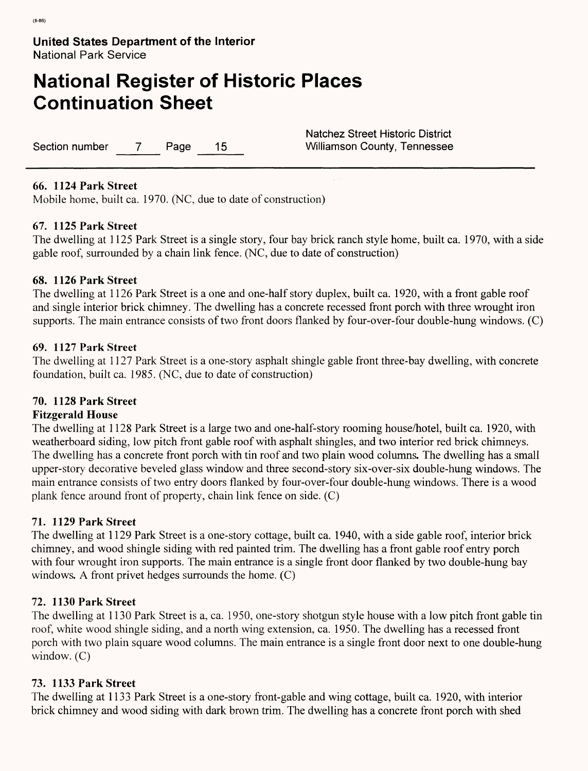# **National Register of Historic Places Continuation Sheet**

Section number 7 Page 15 Williamson County, Tennessee

Natchez Street Historic District

### **66. 1124 Park Street**

Mobile home, built ca. 1970. (NC, due to date of construction)

# **67. 1125 Park Street**

The dwelling at 1125 Park Street is a single story, four bay brick ranch style home, built ca. 1970, with a side gable roof, surrounded by a chain link fence. (NC, due to date of construction)

### **68. 1126 Park Street**

The dwelling at 1126 Park Street is a one and one-half story duplex, built ca. 1920, with a front gable roof and single interior brick chimney. The dwelling has a concrete recessed front porch with three wrought iron supports. The main entrance consists of two front doors flanked by four-over-four double-hung windows. (C)

### **69. 1127 Park Street**

The dwelling at 1127 Park Street is a one-story asphalt shingle gable front three-bay dwelling, with concrete foundation, built ca. 1985. (NC, due to date of construction)

# **70. 1128 Park Street**

#### **Fitzgerald House**

The dwelling at 1128 Park Street is a large two and one-half-story rooming house/hotel, built ca. 1920, with weatherboard siding, low pitch front gable roof with asphalt shingles, and two interior red brick chimneys. The dwelling has a concrete front porch with tin roof and two plain wood columns. The dwelling has a small upper-story decorative beveled glass window and three second-story six-over-six double-hung windows. The main entrance consists of two entry doors flanked by four-over-four double-hung windows. There is a wood plank fence around front of property, chain link fence on side. (C)

# **71. 1129 Park Street**

The dwelling at 1129 Park Street is a one-story cottage, built ca. 1940, with a side gable roof, interior brick chimney, and wood shingle siding with red painted trim. The dwelling has a front gable roof entry porch with four wrought iron supports. The main entrance is a single front door flanked by two double-hung bay windows. A front privet hedges surrounds the home. (C)

# **72. 1130 Park Street**

The dwelling at 1130 Park Street is a, ca. 1950, one-story shotgun style house with a low pitch front gable tin roof, white wood shingle siding, and a north wing extension, ca. 1950. The dwelling has a recessed front porch with two plain square wood columns. The main entrance is a single front door next to one double-hung window. (C)

# 73. **1133 Park Street**

The dwelling at 1133 Park Street is a one-story front-gable and wing cottage, built ca. 1920, with interior brick chimney and wood siding with dark brown trim. The dwelling has a concrete front porch with shed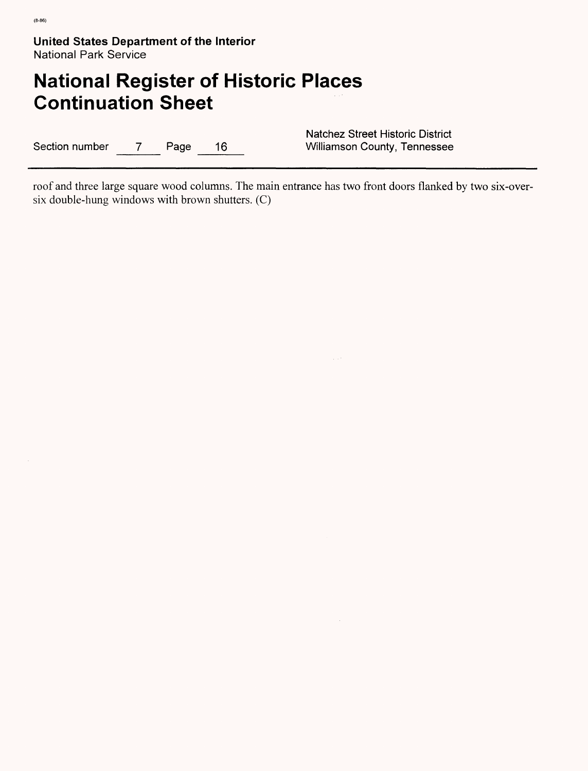# **National Register of Historic Places Continuation Sheet**

Section number 7 Page 16

Natchez Street Historic District<br>Williamson County, Tennessee

roof and three large square wood columns. The main entrance has two front doors flanked by two six-oversix double-hung windows with brown shutters. (C)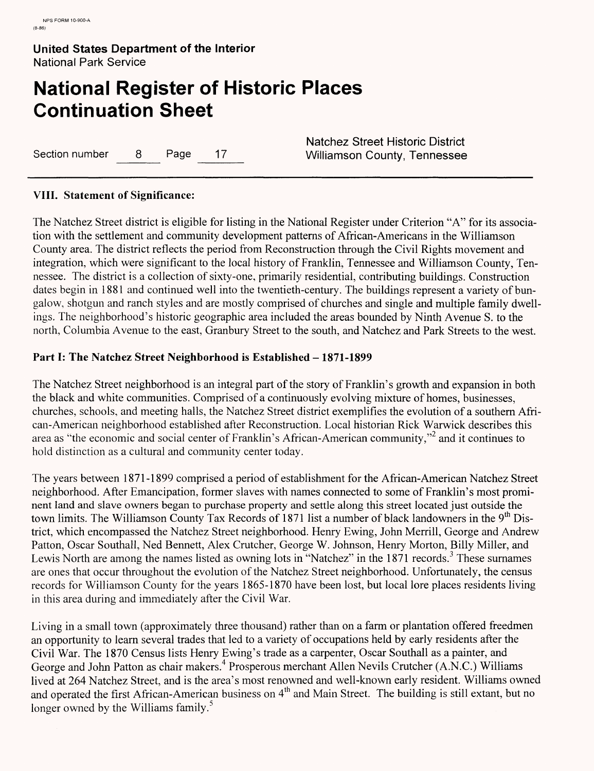# **National Register of Historic Places Continuation Sheet**

Section number 8 Page 17 Williamson County, Tennessee

Natchez Street Historic District

# **VIII. Statement of Significance:**

The Natchez Street district is eligible for listing in the National Register under Criterion "A" for its association with the settlement and community development patterns of African-Americans in the Williamson County area. The district reflects the period from Reconstruction through the Civil Rights movement and integration, which were significant to the local history of Franklin, Tennessee and Williamson County, Tennessee. The district is a collection of sixty-one, primarily residential, contributing buildings. Construction dates begin in 1881 and continued well into the twentieth-century. The buildings represent a variety of bungalow, shotgun and ranch styles and are mostly comprised of churches and single and multiple family dwellings. The neighborhood's historic geographic area included the areas bounded by Ninth Avenue S. to the north, Columbia Avenue to the east, Granbury Street to the south, and Natchez and Park Streets to the west.

# Part I: The Natchez Street Neighborhood is Established – 1871-1899

The Natchez Street neighborhood is an integral part of the story of Franklin's growth and expansion in both the black and white communities. Comprised of a continuously evolving mixture of homes, businesses, churches, schools, and meeting halls, the Natchez Street district exemplifies the evolution of a southern African-American neighborhood established after Reconstruction. Local historian Rick Warwick describes this area as "the economic and social center of Franklin's African-American community,"2 and it continues to hold distinction as a cultural and community center today.

The years between 1871-1899 comprised a period of establishment for the African-American Natchez Street neighborhood. After Emancipation, former slaves with names connected to some of Franklin's most prominent land and slave owners began to purchase property and settle along this street located just outside the town limits. The Williamson County Tax Records of 1871 list a number of black landowners in the 9<sup>th</sup> District, which encompassed the Natchez Street neighborhood. Henry Ewing, John Merrill, George and Andrew Patton, Oscar Southall, Ned Bennett, Alex Crutcher, George W. Johnson, Henry Morton, Billy Miller, and Lewis North are among the names listed as owning lots in "Natchez" in the 1871 records.<sup>3</sup> These surnames are ones that occur throughout the evolution of the Natchez Street neighborhood. Unfortunately, the census records for Williamson County for the years 1865-1870 have been lost, but local lore places residents living in this area during and immediately after the Civil War.

Living in a small town (approximately three thousand) rather than on a farm or plantation offered freedmen an opportunity to learn several trades that led to a variety of occupations held by early residents after the Civil War. The 1870 Census lists Henry Ewing's trade as a carpenter, Oscar Southall as a painter, and George and John Patton as chair makers.<sup>4</sup> Prosperous merchant Allen Nevils Crutcher (A.N.C.) Williams lived at 264 Natchez Street, and is the area's most renowned and well-known early resident. Williams owned and operated the first African-American business on 4<sup>th</sup> and Main Street. The building is still extant, but no longer owned by the Williams family.<sup>5</sup>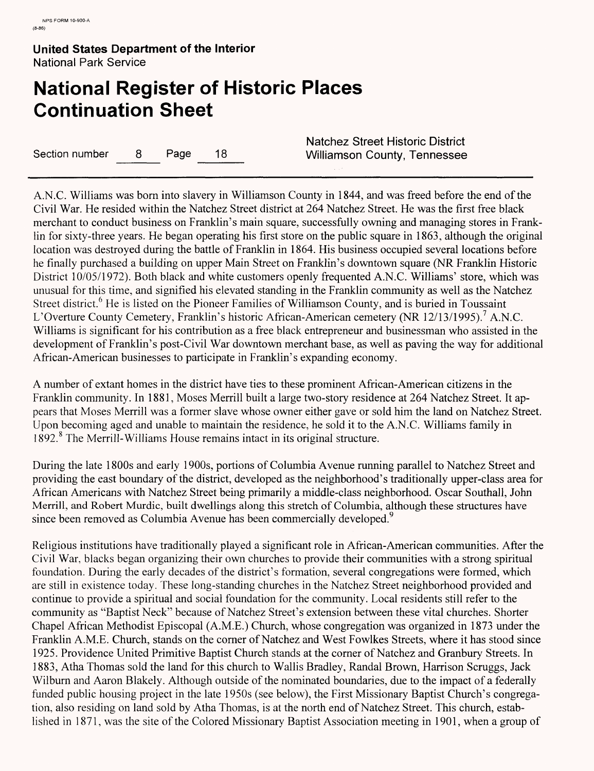# **National Register of Historic Places Continuation Sheet**

Section number 8 Page 18 Williamson County, Tennessee

Natchez Street Historic District

A.N.C. Williams was born into slavery in Williamson County in 1844, and was freed before the end of the Civil War. He resided within the Natchez Street district at 264 Natchez Street. He was the first free black merchant to conduct business on Franklin's main square, successfully owning and managing stores in Franklin for sixty-three years. He began operating his first store on the public square in 1863, although the original location was destroyed during the battle of Franklin in 1864. His business occupied several locations before he finally purchased a building on upper Main Street on Franklin's downtown square (NR Franklin Historic District 10/05/1972). Both black and white customers openly frequented A.N.C. Williams' store, which was unusual for this time, and signified his elevated standing in the Franklin community as well as the Natchez Street district.<sup>6</sup> He is listed on the Pioneer Families of Williamson County, and is buried in Toussaint L'Overture County Cemetery, Franklin's historic African-American cemetery (NR 12/13/1995).<sup>7</sup> A.N.C. Williams is significant for his contribution as a free black entrepreneur and businessman who assisted in the development of Franklin's post-Civil War downtown merchant base, as well as paving the way for additional African-American businesses to participate in Franklin's expanding economy.

A number of extant homes in the district have ties to these prominent African-American citizens in the Franklin community. In 1881, Moses Merrill built a large two-story residence at 264 Natchez Street. It appears that Moses Merrill was a former slave whose owner either gave or sold him the land on Natchez Street. Upon becoming aged and unable to maintain the residence, he sold it to the A.N.C. Williams family in 1892. The Merrill-Williams House remains intact in its original structure.

During the late 1800s and early 1900s, portions of Columbia Avenue running parallel to Natchez Street and providing the east boundary of the district, developed as the neighborhood's traditionally upper-class area for African Americans with Natchez Street being primarily a middle-class neighborhood. Oscar Southall, John Merrill, and Robert Murdic, built dwellings along this stretch of Columbia, although these structures have since been removed as Columbia Avenue has been commercially developed.<sup>9</sup>

Religious institutions have traditionally played a significant role in African-American communities. After the Civil War, blacks began organizing their own churches to provide their communities with a strong spiritual foundation. During the early decades of the district's formation, several congregations were formed, which are still in existence today. These long-standing churches in the Natchez Street neighborhood provided and continue to provide a spiritual and social foundation for the community. Local residents still refer to the community as "Baptist Neck" because of Natchez Street's extension between these vital churches. Shorter Chapel African Methodist Episcopal (A.M.E.) Church, whose congregation was organized in 1873 under the Franklin A.M.E. Church, stands on the corner of Natchez and West Fowlkes Streets, where it has stood since 1925. Providence United Primitive Baptist Church stands at the corner of Natchez and Granbury Streets. In 1883, Atha Thomas sold the land for this church to Wallis Bradley, Randal Brown, Harrison Scruggs, Jack Wilburn and Aaron Blakely. Although outside of the nominated boundaries, due to the impact of a federally funded public housing project in the late 1950s (see below), the First Missionary Baptist Church's congregation, also residing on land sold by Atha Thomas, is at the north end of Natchez Street. This church, established in 1871, was the site of the Colored Missionary Baptist Association meeting in 1901, when a group of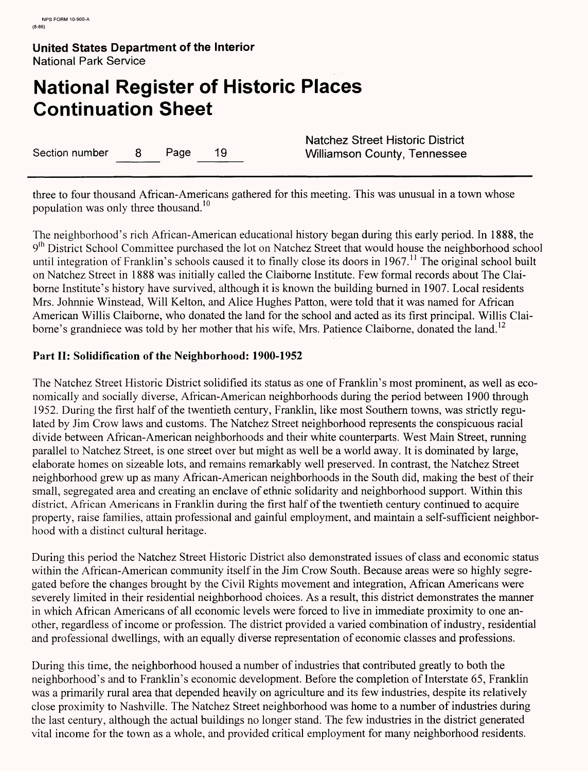# **National Register of Historic Places Continuation Sheet**

Section number 8 Page 19 Williamson County, Tennessee

Natchez Street Historic District

three to four thousand African-Americans gathered for this meeting. This was unusual in a town whose population was only three thousand.<sup>10</sup>

The neighborhood's rich African-American educational history began during this early period. In 1888, the 9<sup>th</sup> District School Committee purchased the lot on Natchez Street that would house the neighborhood school until integration of Franklin's schools caused it to finally close its doors in  $1967$ .<sup>11</sup> The original school built on Natchez Street in 1888 was initially called the Claiborne Institute. Few formal records about The Claiborne Institute's history have survived, although it is known the building burned in 1907. Local residents Mrs. Johnnie Winstead, Will Kelton, and Alice Hughes Patton, were told that it was named for African American Willis Claiborne, who donated the land for the school and acted as its first principal. Willis Claiborne's grandniece was told by her mother that his wife, Mrs. Patience Claiborne, donated the land.<sup>12</sup>

### **Part II: Solidification of the Neighborhood: 1900-1952**

The Natchez Street Historic District solidified its status as one of Franklin's most prominent, as well as economically and socially diverse, African-American neighborhoods during the period between 1900 through 1952. During the first half of the twentieth century, Franklin, like most Southern towns, was strictly regulated by Jim Crow laws and customs. The Natchez Street neighborhood represents the conspicuous racial divide between African-American neighborhoods and their white counterparts. West Main Street, running parallel to Natchez Street, is one street over but might as well be a world away. It is dominated by large, elaborate homes on sizeable lots, and remains remarkably well preserved. In contrast, the Natchez Street neighborhood grew up as many African-American neighborhoods in the South did, making the best of their small, segregated area and creating an enclave of ethnic solidarity and neighborhood support. Within this district, African Americans in Franklin during the first half of the twentieth century continued to acquire property, raise families, attain professional and gainful employment, and maintain a self-sufficient neighborhood with a distinct cultural heritage.

During this period the Natchez Street Historic District also demonstrated issues of class and economic status within the African-American community itself in the Jim Crow South. Because areas were so highly segregated before the changes brought by the Civil Rights movement and integration, African Americans were severely limited in their residential neighborhood choices. As a result, this district demonstrates the manner in which African Americans of all economic levels were forced to live in immediate proximity to one another, regardless of income or profession. The district provided a varied combination of industry, residential and professional dwellings, with an equally diverse representation of economic classes and professions.

During this time, the neighborhood housed a number of industries that contributed greatly to both the neighborhood's and to Franklin's economic development. Before the completion of Interstate 65, Franklin was a primarily rural area that depended heavily on agriculture and its few industries, despite its relatively close proximity to Nashville. The Natchez Street neighborhood was home to a number of industries during the last century, although the actual buildings no longer stand. The few industries in the district generated vital income for the town as a whole, and provided critical employment for many neighborhood residents.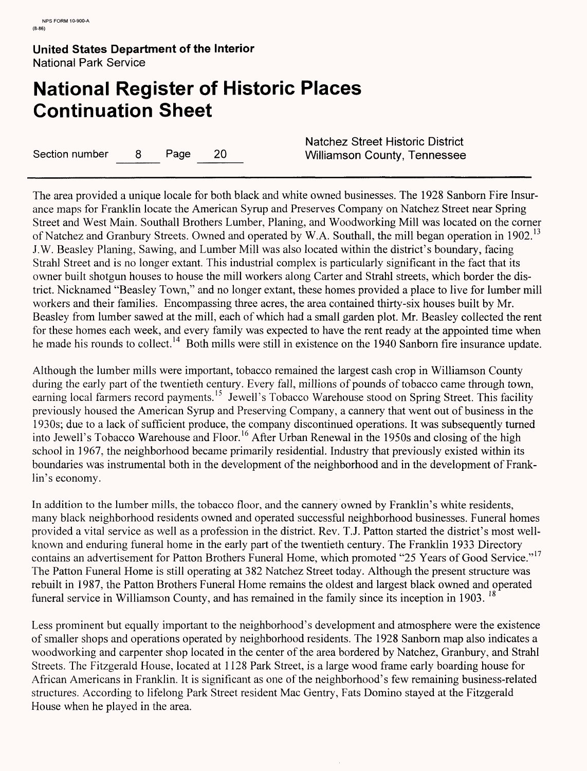# **National Register of Historic Places Continuation Sheet**

Section number 8 Page 20 Williamson County, Tennessee

Natchez Street Historic District

The area provided a unique locale for both black and white owned businesses. The 1928 Sanborn Fire Insurance maps for Franklin locate the American Syrup and Preserves Company on Natchez Street near Spring Street and West Main. Southall Brothers Lumber, Planing, and Woodworking Mill was located on the corner of Natchez and Granbury Streets. Owned and operated by W.A. Southall, the mill began operation in 1902.<sup>13</sup> J.W. Beasley Planing, Sawing, and Lumber Mill was also located within the district's boundary, facing Strahl Street and is no longer extant. This industrial complex is particularly significant in the fact that its owner built shotgun houses to house the mill workers along Carter and Strahl streets, which border the district. Nicknamed "Beasley Town," and no longer extant, these homes provided a place to live for lumber mill workers and their families. Encompassing three acres, the area contained thirty-six houses built by Mr. Beasley from lumber sawed at the mill, each of which had a small garden plot. Mr. Beasley collected the rent for these homes each week, and every family was expected to have the rent ready at the appointed time when he made his rounds to collect.<sup>14</sup> Both mills were still in existence on the 1940 Sanborn fire insurance update.

Although the lumber mills were important, tobacco remained the largest cash crop in Williamson County during the early part of the twentieth century. Every fall, millions of pounds of tobacco came through town, earning local farmers record payments.<sup>15</sup> Jewell's Tobacco Warehouse stood on Spring Street. This facility previously housed the American Syrup and Preserving Company, a cannery that went out of business in the 1930s; due to a lack of sufficient produce, the company discontinued operations. It was subsequently turned into Jewell's Tobacco Warehouse and Floor.<sup>16</sup> After Urban Renewal in the 1950s and closing of the high school in 1967, the neighborhood became primarily residential. Industry that previously existed within its boundaries was instrumental both in the development of the neighborhood and in the development of Franklin's economy.

In addition to the lumber mills, the tobacco floor, and the cannery owned by Franklin's white residents, many black neighborhood residents owned and operated successful neighborhood businesses. Funeral homes provided a vital service as well as a profession in the district. Rev. T.J. Patton started the district's most wellknown and enduring funeral home in the early part of the twentieth century. The Franklin 1933 Directory contains an advertisement for Patton Brothers Funeral Home, which promoted "25 Years of Good Service."<sup>17</sup> The Patton Funeral Home is still operating at 382 Natchez Street today. Although the present structure was rebuilt in 1987, the Patton Brothers Funeral Home remains the oldest and largest black owned and operated funeral service in Williamson County, and has remained in the family since its inception in 1903. <sup>18</sup>

Less prominent but equally important to the neighborhood's development and atmosphere were the existence of smaller shops and operations operated by neighborhood residents. The 1928 Sanborn map also indicates a woodworking and carpenter shop located in the center of the area bordered by Natchez, Granbury, and Strahl Streets. The Fitzgerald House, located at 1128 Park Street, is a large wood frame early boarding house for African Americans in Franklin. It is significant as one of the neighborhood's few remaining business-related structures. According to lifelong Park Street resident Mac Gentry, Fats Domino stayed at the Fitzgerald House when he played in the area.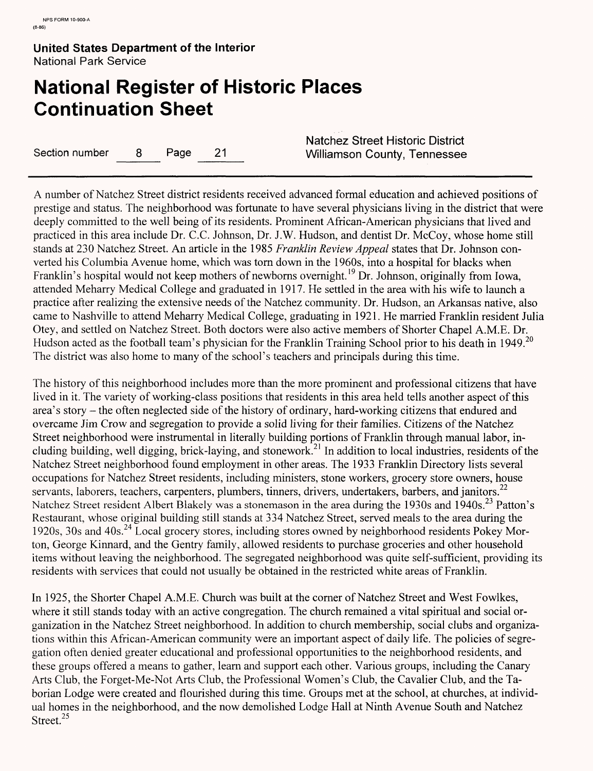# **National Register of Historic Places Continuation Sheet**

Section number 8 Page 21 Williamson County, Tennessee

Natchez Street Historic District

A number of Natchez Street district residents received advanced formal education and achieved positions of prestige and status. The neighborhood was fortunate to have several physicians living in the district that were deeply committed to the well being of its residents. Prominent African-American physicians that lived and practiced in this area include Dr. C.C. Johnson, Dr. J.W. Hudson, and dentist Dr. McCoy, whose home still stands at 230 Natchez Street. An article in the 1985 *Franklin Review Appeal* states that Dr. Johnson converted his Columbia Avenue home, which was torn down in the 1960s, into a hospital for blacks when Franklin's hospital would not keep mothers of newborns overnight.<sup>19</sup> Dr. Johnson, originally from Iowa, attended Meharry Medical College and graduated in 1917. He settled in the area with his wife to launch a practice after realizing the extensive needs of the Natchez community. Dr. Hudson, an Arkansas native, also came to Nashville to attend Meharry Medical College, graduating in 1921. He married Franklin resident Julia Otey, and settled on Natchez Street. Both doctors were also active members of Shorter Chapel A.M.E. Dr. Hudson acted as the football team's physician for the Franklin Training School prior to his death in 1949.<sup>20</sup> The district was also home to many of the school's teachers and principals during this time.

The history of this neighborhood includes more than the more prominent and professional citizens that have lived in it. The variety of working-class positions that residents in this area held tells another aspect of this area's story - the often neglected side of the history of ordinary, hard-working citizens that endured and overcame Jim Crow and segregation to provide a solid living for their families. Citizens of the Natchez Street neighborhood were instrumental in literally building portions of Franklin through manual labor, including building, well digging, brick-laying, and stonework.21 In addition to local industries, residents of the Natchez Street neighborhood found employment in other areas. The 1933 Franklin Directory lists several occupations for Natchez Street residents, including ministers, stone workers, grocery store owners, house servants, laborers, teachers, carpenters, plumbers, tinners, drivers, undertakers, barbers, and janitors.<sup>22</sup> Natchez Street resident Albert Blakely was a stonemason in the area during the 1930s and 1940s. <sup>23</sup> Patton's Restaurant, whose original building still stands at 334 Natchez Street, served meals to the area during the 1920s, 30s and 40s.<sup>24</sup> Local grocery stores, including stores owned by neighborhood residents Pokey Morton, George Kinnard, and the Gentry family, allowed residents to purchase groceries and other household items without leaving the neighborhood. The segregated neighborhood was quite self-sufficient, providing its residents with services that could not usually be obtained in the restricted white areas of Franklin.

In 1925, the Shorter Chapel A.M.E. Church was built at the corner of Natchez Street and West Fowlkes, where it still stands today with an active congregation. The church remained a vital spiritual and social organization in the Natchez Street neighborhood. In addition to church membership, social clubs and organizations within this African-American community were an important aspect of daily life. The policies of segregation often denied greater educational and professional opportunities to the neighborhood residents, and these groups offered a means to gather, learn and support each other. Various groups, including the Canary Arts Club, the Forget-Me-Not Arts Club, the Professional Women's Club, the Cavalier Club, and the Taborian Lodge were created and flourished during this time. Groups met at the school, at churches, at individual homes in the neighborhood, and the now demolished Lodge Hall at Ninth Avenue South and Natchez Street.<sup>25</sup>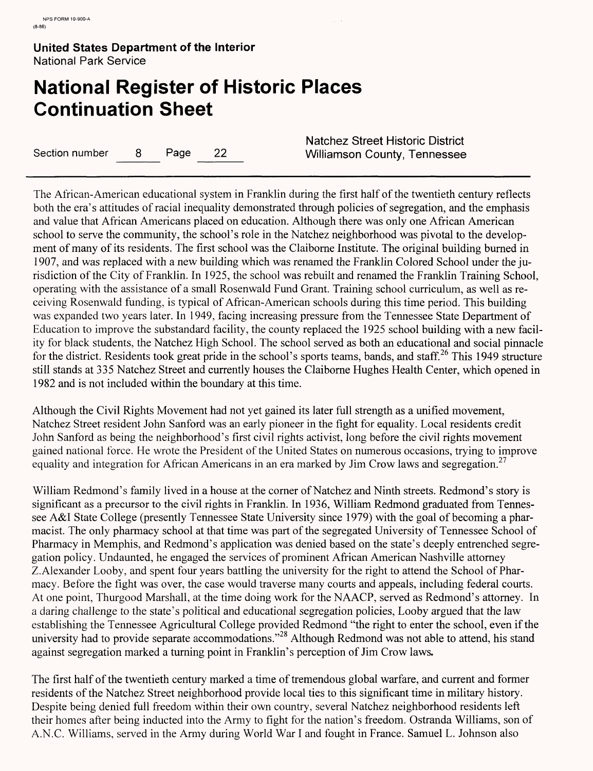# **National Register of Historic Places Continuation Sheet**

Section number 8 Page 22 Williamson County, Tennessee

Natchez Street Historic District

The African-American educational system in Franklin during the first half of the twentieth century reflects both the era's attitudes of racial inequality demonstrated through policies of segregation, and the emphasis and value that African Americans placed on education. Although there was only one African American school to serve the community, the school's role in the Natchez neighborhood was pivotal to the development of many of its residents. The first school was the Claiborne Institute. The original building burned in 1907, and was replaced with a new building which was renamed the Franklin Colored School under the jurisdiction of the City of Franklin. In 1925, the school was rebuilt and renamed the Franklin Training School, operating with the assistance of a small Rosenwald Fund Grant. Training school curriculum, as well as receiving Rosenwald funding, is typical of African-American schools during this time period. This building was expanded two years later. In 1949, facing increasing pressure from the Tennessee State Department of Education to improve the substandard facility, the county replaced the 1925 school building with a new facility for black students, the Natchez High School. The school served as both an educational and social pinnacle *"if.* \_ for the district. Residents took great pride in the school's sports teams, bands, and staff.<sup>26</sup> This 1949 structure still stands at 335 Natchez Street and currently houses the Claiborne Hughes Health Center, which opened in 1982 and is not included within the boundary at this time.

Although the Civil Rights Movement had not yet gained its later full strength as a unified movement, Natchez Street resident John Sanford was an early pioneer in the fight for equality. Local residents credit John Sanford as being the neighborhood's first civil rights activist, long before the civil rights movement gained national force. He wrote the President of the United States on numerous occasions, trying to improve equality and integration for African Americans in an era marked by Jim Crow laws and segregation.<sup>27</sup>

William Redmond's family lived in a house at the corner of Natchez and Ninth streets. Redmond's story is significant as a precursor to the civil rights in Franklin. In 1936, William Redmond graduated from Tennessee A&I State College (presently Tennessee State University since 1979) with the goal of becoming a pharmacist. The only pharmacy school at that time was part of the segregated University of Tennessee School of Pharmacy in Memphis, and Redmond's application was denied based on the state's deeply entrenched segregation policy. Undaunted, he engaged the services of prominent African American Nashville attorney Z.Alexander Looby, and spent four years battling the university for the right to attend the School of Pharmacy. Before the fight was over, the case would traverse many courts and appeals, including federal courts. At one point, Thurgood Marshall, at the time doing work for the NAACP, served as Redmond's attorney. In a daring challenge to the state's political and educational segregation policies, Looby argued that the law establishing the Tennessee Agricultural College provided Redmond "the right to enter the school, even if the university had to provide separate accommodations."<sup>28</sup> Although Redmond was not able to attend, his stand against segregation marked a turning point in Franklin's perception of Jim Crow laws.

The first half of the twentieth century marked a time of tremendous global warfare, and current and former residents of the Natchez Street neighborhood provide local ties to this significant time in military history. Despite being denied full freedom within their own country, several Natchez neighborhood residents left their homes after being inducted into the Army to fight for the nation's freedom. Ostranda Williams, son of A.N.C. Williams, served in the Army during World War I and fought in France. Samuel L. Johnson also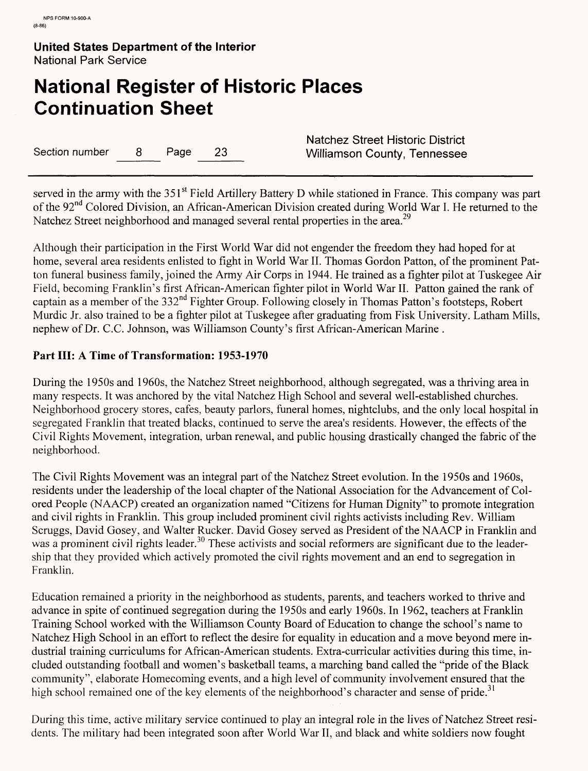# **National Register of Historic Places Continuation Sheet**

Section number 8 Page 23 Williamson County, Tennessee

Natchez Street Historic District

served in the army with the 351<sup>st</sup> Field Artillery Battery D while stationed in France. This company was part of the 92nd Colored Division, an African-American Division created during World War I. He returned to the Natchez Street neighborhood and managed several rental properties in the area.<sup>29</sup>

Although their participation in the First World War did not engender the freedom they had hoped for at home, several area residents enlisted to fight in World War II. Thomas Gordon Patton, of the prominent Patton funeral business family, joined the Army Air Corps in 1944. He trained as a fighter pilot at Tuskegee Air Field, becoming Franklin's first African-American fighter pilot in World War II. Patton gained the rank of captain as a member of the 332nd Fighter Group. Following closely in Thomas Patton's footsteps, Robert Murdic Jr. also trained to be a fighter pilot at Tuskegee after graduating from Fisk University. Latham Mills, nephew of Dr. C.C. Johnson, was Williamson County's first African-American Marine .

# **Part III: A Time of Transformation: 1953-1970**

During the 1950s and 1960s, the Natchez Street neighborhood, although segregated, was a thriving area in many respects. It was anchored by the vital Natchez High School and several well-established churches. Neighborhood grocery stores, cafes, beauty parlors, funeral homes, nightclubs, and the only local hospital in segregated Franklin that treated blacks, continued to serve the area's residents. However, the effects of the Civil Rights Movement, integration, urban renewal, and public housing drastically changed the fabric of the neighborhood.

The Civil Rights Movement was an integral part of the Natchez Street evolution. In the 1950s and 1960s, residents under the leadership of the local chapter of the National Association for the Advancement of Colored People (NAACP) created an organization named "Citizens for Human Dignity" to promote integration and civil rights in Franklin. This group included prominent civil rights activists including Rev. William Scruggs, David Gosey, and Walter Rucker. David Gosey served as President of the NAACP in Franklin and was a prominent civil rights leader.<sup>30</sup> These activists and social reformers are significant due to the leadership that they provided which actively promoted the civil rights movement and an end to segregation in Franklin.

Education remained a priority in the neighborhood as students, parents, and teachers worked to thrive and advance in spite of continued segregation during the 1950s and early 1960s. In 1962, teachers at Franklin Training School worked with the Williamson County Board of Education to change the school's name to Natchez High School in an effort to reflect the desire for equality in education and a move beyond mere industrial training curriculums for African-American students. Extra-curricular activities during this time, included outstanding football and women's basketball teams, a marching band called the "pride of the Black community", elaborate Homecoming events, and a high level of community involvement ensured that the high school remained one of the key elements of the neighborhood's character and sense of pride.<sup>31</sup>

During this time, active military service continued to play an integral role in the lives of Natchez Street residents. The military had been integrated soon after World War II, and black and white soldiers now fought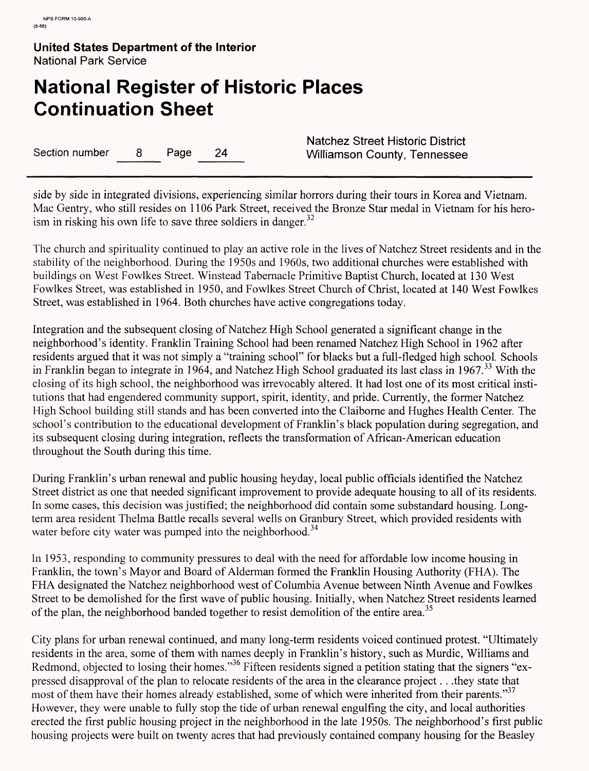# **National Register of Historic Places Continuation Sheet**

Section number 8 Page 24 Williamson County, Tennessee

Natchez Street Historic District

side by side in integrated divisions, experiencing similar horrors during their tours in Korea and Vietnam. Mac Gentry, who still resides on 1106 Park Street, received the Bronze Star medal in Vietnam for his heroism in risking his own life to save three soldiers in danger.<sup>32</sup>

The church and spirituality continued to play an active role in the lives of Natchez Street residents and in the stability of the neighborhood. During the 1950s and 1960s, two additional churches were established with buildings on West Fowlkes Street. Winstead Tabernacle Primitive Baptist Church, located at 130 West Fowlkes Street, was established in 1950, and Fowlkes Street Church of Christ, located at 140 West Fowlkes Street, was established in 1964. Both churches have active congregations today.

Integration and the subsequent closing of Natchez High School generated a significant change in the neighborhood's identity. Franklin Training School had been renamed Natchez High School in 1962 after residents argued that it was not simply a "training school" for blacks but a full-fledged high school. Schools in Franklin began to integrate in 1964, and Natchez High School graduated its last class in 1967.<sup>33</sup> With the closing of its high school, the neighborhood was irrevocably altered. It had lost one of its most critical institutions that had engendered community support, spirit, identity, and pride. Currently, the former Natchez High School building still stands and has been converted into the Claiborne and Hughes Health Center. The school's contribution to the educational development of Franklin's black population during segregation, and its subsequent closing during integration, reflects the transformation of African-American education throughout the South during this time.

During Franklin's urban renewal and public housing heyday, local public officials identified the Natchez Street district as one that needed significant improvement to provide adequate housing to all of its residents. In some cases, this decision was justified; the neighborhood did contain some substandard housing. Longterm area resident Thelma Battle recalls several wells on Granbury Street, which provided residents with water before city water was pumped into the neighborhood.<sup>34</sup>

In 1953, responding to community pressures to deal with the need for affordable low income housing in Franklin, the town's Mayor and Board of Alderman formed the Franklin Housing Authority (FHA). The FHA designated the Natchez neighborhood west of Columbia Avenue between Ninth Avenue and Fowlkes Street to be demolished for the first wave of public housing. Initially, when Natchez Street residents learned of the plan, the neighborhood banded together to resist demolition of the entire area.<sup>35</sup>

City plans for urban renewal continued, and many long-term residents voiced continued protest. "Ultimately residents in the area, some of them with names deeply in Franklin's history, such as Murdic, Williams and Redmond, objected to losing their homes."<sup>30</sup> Fifteen residents signed a petition stating that the signers "expressed disapproval of the plan to relocate residents of the area in the clearance project. . .they state that most of them have their homes already established, some of which were inherited from their parents."<sup>37</sup> However, they were unable to fully stop the tide of urban renewal engulfing the city, and local authorities erected the first public housing project in the neighborhood in the late 1950s. The neighborhood's first public housing projects were built on twenty acres that had previously contained company housing for the Beasley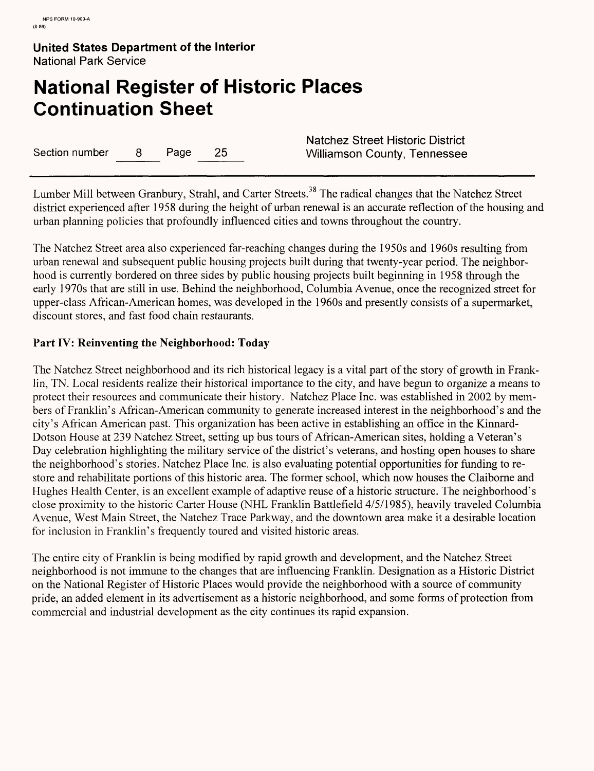# **National Register of Historic Places Continuation Sheet**

Section number 8 Page 25 Williamson County, Tennessee

Natchez Street Historic District

Lumber Mill between Granbury, Strahl, and Carter Streets.<sup>38</sup> The radical changes that the Natchez Street district experienced after 1958 during the height of urban renewal is an accurate reflection of the housing and urban planning policies that profoundly influenced cities and towns throughout the country.

The Natchez Street area also experienced far-reaching changes during the 1950s and 1960s resulting from urban renewal and subsequent public housing projects built during that twenty-year period. The neighborhood is currently bordered on three sides by public housing projects built beginning in 1958 through the early 1970s that are still in use. Behind the neighborhood, Columbia Avenue, once the recognized street for upper-class African-American homes, was developed in the 1960s and presently consists of a supermarket, discount stores, and fast food chain restaurants.

# **Part IV: Reinventing the Neighborhood: Today**

The Natchez Street neighborhood and its rich historical legacy is a vital part of the story of growth in Franklin, TN. Local residents realize their historical importance to the city, and have begun to organize a means to protect their resources and communicate their history. Natchez Place Inc. was established in 2002 by members of Franklin's African-American community to generate increased interest in the neighborhood's and the city's African American past. This organization has been active in establishing an office in the Kinnard-Dotson House at 239 Natchez Street, setting up bus tours of African-American sites, holding a Veteran's Day celebration highlighting the military service of the district's veterans, and hosting open houses to share the neighborhood's stories. Natchez Place Inc. is also evaluating potential opportunities for funding to restore and rehabilitate portions of this historic area. The former school, which now houses the Claiborne and Hughes Health Center, is an excellent example of adaptive reuse of a historic structure. The neighborhood's close proximity to the historic Carter House (NHL Franklin Battlefield 4/5/1985), heavily traveled Columbia Avenue, West Main Street, the Natchez Trace Parkway, and the downtown area make it a desirable location for inclusion in Franklin's frequently toured and visited historic areas.

The entire city of Franklin is being modified by rapid growth and development, and the Natchez Street neighborhood is not immune to the changes that are influencing Franklin. Designation as a Historic District on the National Register of Historic Places would provide the neighborhood with a source of community pride, an added element in its advertisement as a historic neighborhood, and some forms of protection from commercial and industrial development as the city continues its rapid expansion.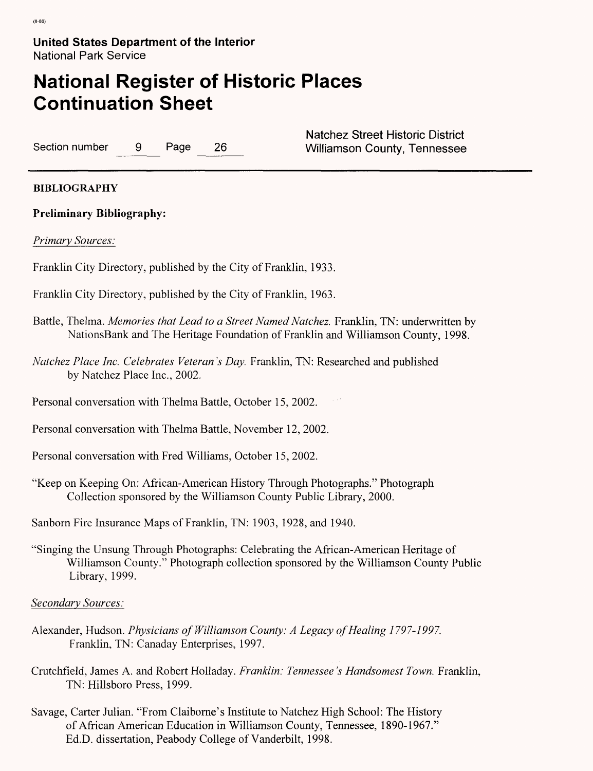# **National Register of Historic Places Continuation Sheet**

Section number 9 Page 26 Williamson County, Tennessee

Natchez Street Historic District

# **BIBLIOGRAPHY**

# **Preliminary Bibliography:**

*Primary Sources:*

Franklin City Directory, published by the City of Franklin, 1933.

- Franklin City Directory, published by the City of Franklin, 1963.
- Battle, Thelma. *Memories that Lead to a Street Named Natchez.* Franklin, TN: underwritten by NationsBank and The Heritage Foundation of Franklin and Williamson County, 1998.
- *Natchez Place Inc. Celebrates Veteran's Day.* Franklin, TN: Researched and published by Natchez Place Inc., 2002.

Personal conversation with Thelma Battle, October 15, 2002.

- Personal conversation with Thelma Battle, November 12, 2002.
- Personal conversation with Fred Williams, October 15, 2002.
- "Keep on Keeping On: African-American History Through Photographs." Photograph Collection sponsored by the Williamson County Public Library, 2000.

Sanborn Fire Insurance Maps of Franklin, TN: 1903, 1928, and 1940.

"Singing the Unsung Through Photographs: Celebrating the African-American Heritage of Williamson County." Photograph collection sponsored by the Williamson County Public Library, 1999.

#### *Secondary Sources:*

- Alexander, Hudson. *Physicians of Williamson County: A Legacy of Healing 1797-1997.*  Franklin, TN: Canaday Enterprises, 1997.
- Crutchfield, James A. and Robert Holladay. *Franklin: Tennessee's Handsomest Town.* Franklin, TN: Hillsboro Press, 1999.
- Savage, Carter Julian. "From Claiborne's Institute to Natchez High School: The History of African American Education in Williamson County, Tennessee, 1890-1967." Ed.D. dissertation, Peabody College of Vanderbilt, 1998.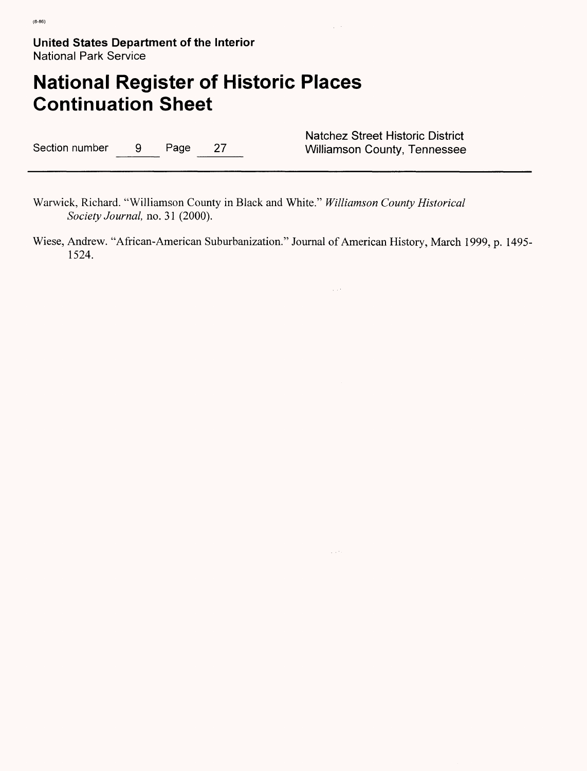# **National Register of Historic Places Continuation Sheet**

Section number 9 Page 27 Williamson County, Tennessee

Natchez Street Historic District

Warwick, Richard. "Williamson County in Black and White." *Williamson County Historical Society Journal,* no. 31 (2000).

Wiese, Andrew. "African-American Suburbanization." Journal of American History, March 1999, p. 1495- 1524.

 $\sim 10^4$ 

 $\sim 10^{11}$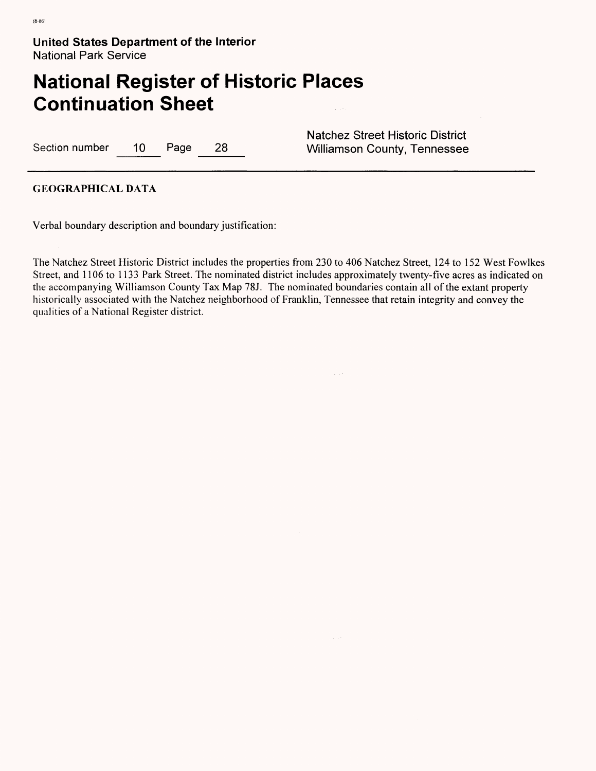# **National Register of Historic Places Continuation Sheet**

Section number 10 Page 28 Williamson County, Tennessee

Natchez Street Historic District

#### **GEOGRAPHICAL DATA**

Verbal boundary description and boundary justification:

The Natchez Street Historic District includes the properties from 230 to 406 Natchez Street, 124 to 152 West Fowlkes Street, and 1106 to 1133 Park Street. The nominated district includes approximately twenty-five acres as indicated on the accompanying Williamson County Tax Map 78J. The nominated boundaries contain all of the extant property historically associated with the Natchez neighborhood of Franklin, Tennessee that retain integrity and convey the qualities of a National Register district.

**Section**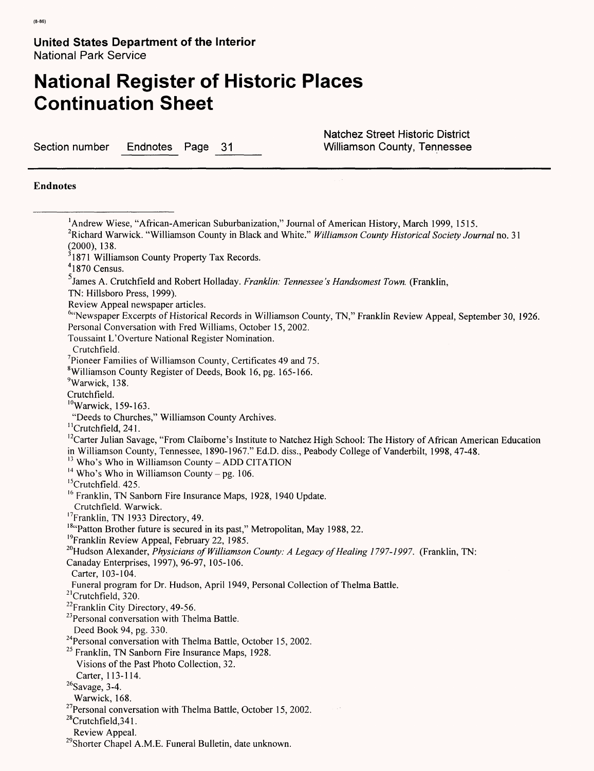# **National Register of Historic Places Continuation Sheet**

Section number Endnotes Page 31 Williamson County, Tennessee

Natchez Street Historic District

#### **Endnotes**

'Andrew Wiese, "African-American Suburbanization," Journal of American History, March 1999, 1515. 2Richard Warwick. "Williamson County in Black and White." *Williamson County Historical Society Journal* no. 31 (2000), 138.  $31871$  Williamson County Property Tax Records.  $41870$  Census. James A. Crutchfield and Robert Holladay. *Franklin: Tennessee's Handsomest Town.* (Franklin, TN: Hillsboro Press, 1999). Review Appeal newspaper articles. 6"Newspaper Excerpts of Historical Records in Williamson County, TN," Franklin Review Appeal, September 30, 1926. Personal Conversation with Fred Williams, October 15, 2002. Toussaint L'Overture National Register Nomination. Crutchfield. 7Pioneer Families of Williamson County, Certificates 49 and 75. 8Williamson County Register of Deeds, Book 16, pg. 165-166. <sup>9</sup>Warwick, 138. Crutchfield. 10Warwick, 159-163. "Deeds to Churches," Williamson County Archives. <sup>11</sup> Crutchfield, 241.  $12$ Carter Julian Savage, "From Claiborne's Institute to Natchez High School: The History of African American Education in Williamson County, Tennessee, 1890-1967." Ed.D. diss., Peabody College of Vanderbilt, 1998, 47-48.  $13$  Who's Who in Williamson County - ADD CITATION <sup>14</sup> Who's Who in Williamson County – pg. 106. <sup>15</sup>Crutchfield. 425. <sup>16</sup> Franklin, TN Sanborn Fire Insurance Maps, 1928, 1940 Update. Crutchfield. Warwick. <sup>17</sup>Franklin, TN 1933 Directory, 49. <sup>18</sup> Patton Brother future is secured in its past," Metropolitan, May 1988, 22. <sup>19</sup>Franklin Review Appeal, February 22, 1985. <sup>20</sup>Hudson Alexander, *Physicians of Williamson County: A Legacy of Healing 1797-1997.* (Franklin, TN: Canaday Enterprises, 1997), 96-97, 105-106. Carter, 103-104. Funeral program for Dr. Hudson, April 1949, Personal Collection of Thelma Battle. 21Crutchfield, 320. <sup>22</sup>Franklin City Directory, 49-56. <sup>23</sup> Personal conversation with Thelma Battle. Deed Book 94, pg. 330. <sup>24</sup> Personal conversation with Thelma Battle, October 15, 2002.  $25$  Franklin, TN Sanborn Fire Insurance Maps, 1928. Visions of the Past Photo Collection, 32. Carter, 113-114.  $26$ Savage, 3-4. Warwick, 168.  $27$ Personal conversation with Thelma Battle, October 15, 2002.  $28$ Crutchfield, 341. Review Appeal. <sup>29</sup>Shorter Chapel A.M.E. Funeral Bulletin, date unknown.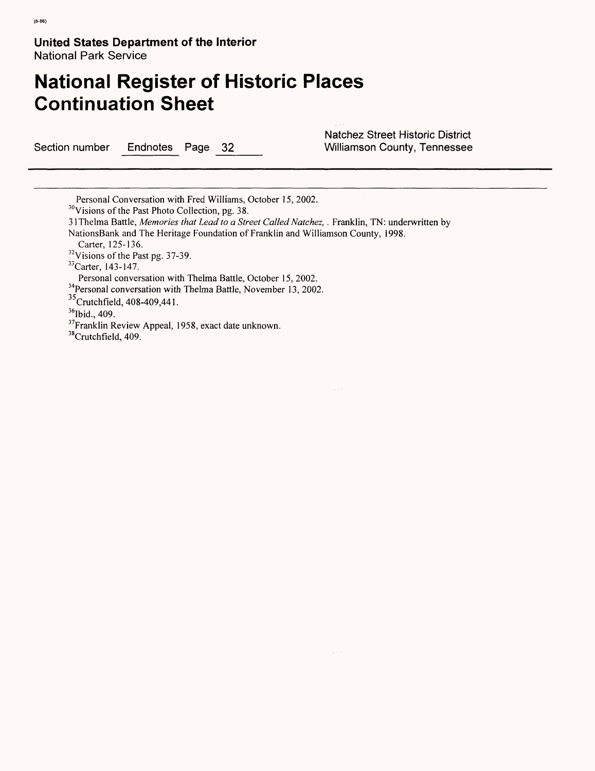# **National Register of Historic Places Continuation Sheet**

Section number Endnotes Page 32 Williamson County, Tennessee

Natchez Street Historic District

Personal Conversation with Fred Williams, October 15, 2002.

31 Thelma Battle, *Memories that Lead to a Street Called Natchez, .* Franklin, TN: underwritten by NationsBank and The Heritage Foundation of Franklin and Williamson County, 1998.

Carter, 125-136.

 $32V$ isions of the Past pg. 37-39.

 $33$ Carter, 143-147.

Personal conversation with Thelma Battle, October 15, 2002.

<sup>34</sup>Personal conversation with Thelma Battle, November 13, 2002.

<sup>35</sup>Crutchfield, 408-409, 441.

<sup>36</sup>Ibid., 409.

<sup>37</sup>Franklin Review Appeal, 1958, exact date unknown.

<sup>38</sup>Crutchfield, 409.

<sup>&</sup>lt;sup>30</sup>Visions of the Past Photo Collection, pg. 38.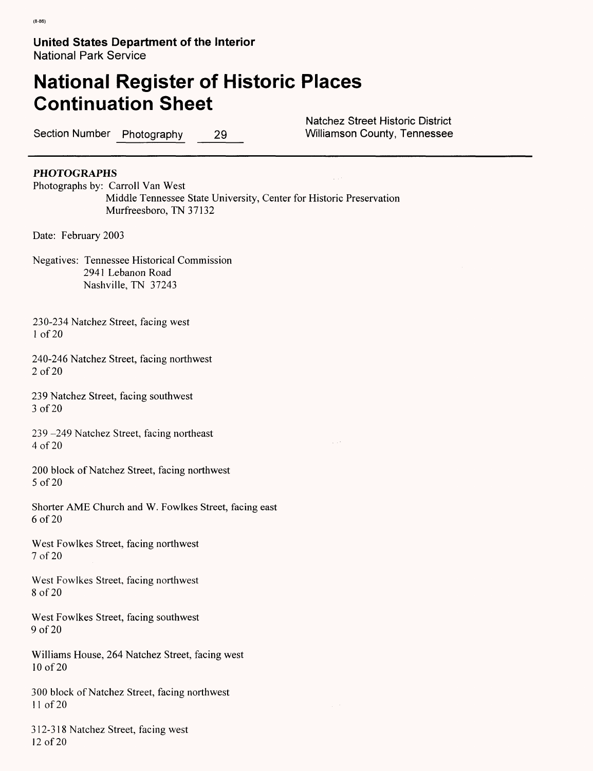# **National Register of Historic Places Continuation Sheet**

Section Number Photography 29 Williamson County, Tennessee

Natchez Street Historic District

#### **PHOTOGRAPHS**

Photographs by: Carroll Van West Middle Tennessee State University, Center for Historic Preservation Murfreesboro, TN 37132

Date: February 2003

Negatives: Tennessee Historical Commission 2941 Lebanon Road Nashville, TN 37243

230-234 Natchez Street, facing west I of 20

240-246 Natchez Street, facing northwest 2 of 20

239 Natchez Street, facing southwest 3 of 20

239 -249 Natchez Street, facing northeast 4 of 20

200 block of Natchez Street, facing northwest 5 of 20

Shorter AME Church and W. Fowlkes Street, facing east 6 of 20

West Fowlkes Street, facing northwest 7 of 20

West Fowlkes Street, facing northwest 8 of 20

West Fowlkes Street, facing southwest 9 of 20

Williams House, 264 Natchez Street, facing west 10 of 20

300 block of Natchez Street, facing northwest II of 20

312-318 Natchez Street, facing west 12 of 20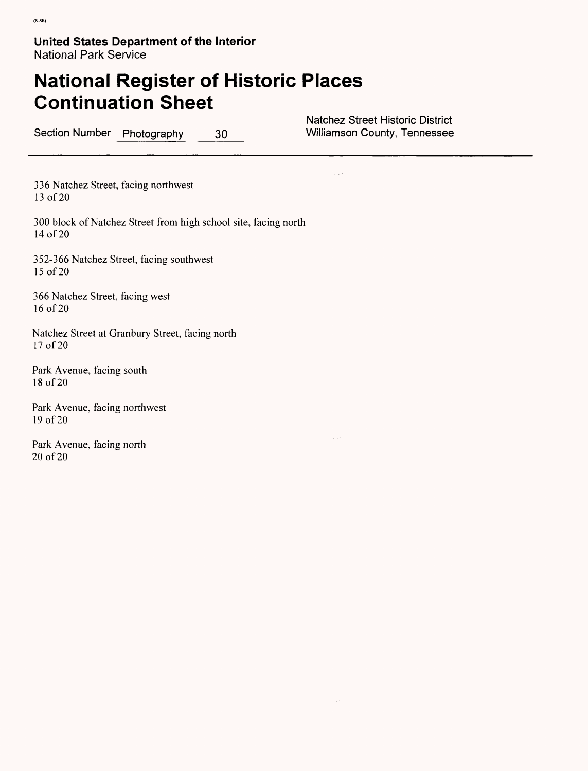# **National Register of Historic Places Continuation Sheet**

Section Number Photography 30

Natchez Street Historic District<br>Williamson County, Tennessee

. . .

336 Natchez Street, facing northwest 13 of 20

300 block of Natchez Street from high school site, facing north 14 of 20

352-366 Natchez Street, facing southwest 15 of 20

366 Natchez Street, facing west 16 of 20

Natchez Street at Granbury Street, facing north 17 of 20

Park Avenue, facing south 18 of 20

Park Avenue, facing northwest 19 of 20

Park Avenue, facing north 20 of 20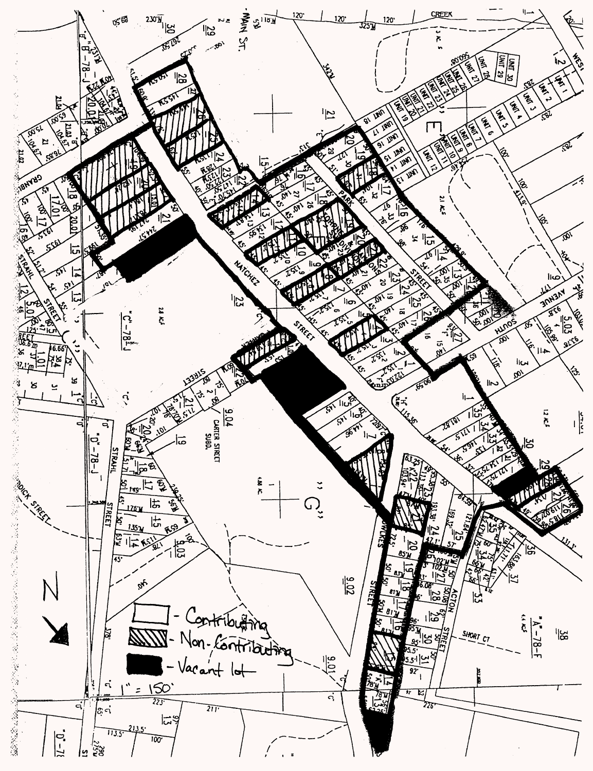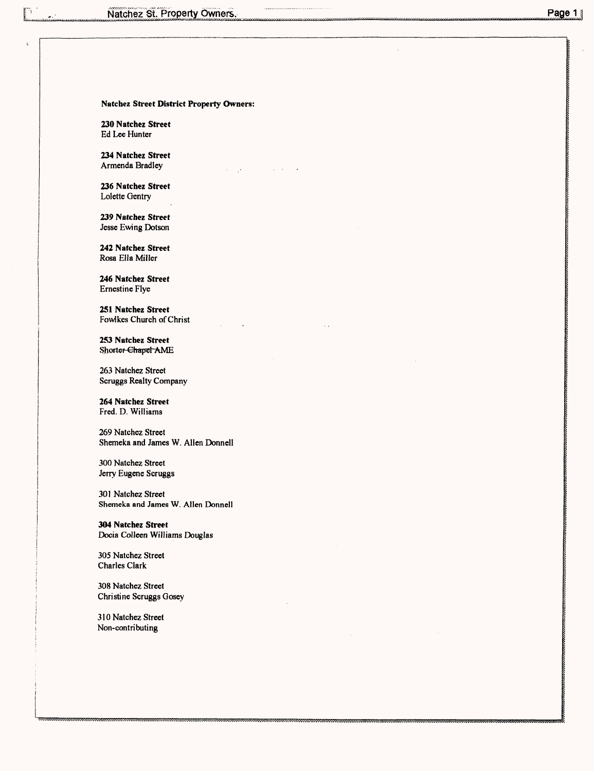#### **Natchez Street District Property Owners:**

**230 Natchez Street** Ed Lee Hunter

**234 Natchez Street** Armenda Bradley

**236 Natchez Street** Lolette Gentry

**239 Natchez Street** Jesse Ewing Dotson

**242 Natchez Street** Rosa Ella Miller

**246 Natchez Street** Ernestine Flye

**251 Natchez Street** Fowlkes Church of Christ

**253 Natchez Street** Shorter-Chapel-AME

263 Natchez Street Scruggs Realty Company

**264 Natchez Street** Fred. D. Williams

269 Natchez Street Shemeka and James W. Alien Donnell

300 Natchez Street Jerry Eugene Scruggs

301 Natchez Street **Shemeka and James W. Alien Donnell**

**304 Natchez Street** Docia Colleen Williams Douglas

305 Natchez Street Charles Clark

308 Natchez Street Christine Scruggs Gosey

310 Natchez Street Non-contributing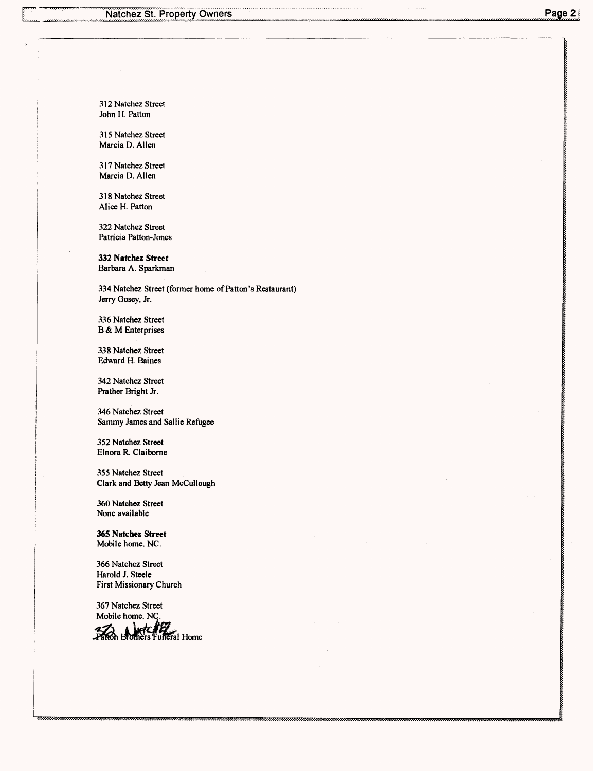312 Natchez Street John H. Patton

315 Natchez Street Marcia D. Alien

317 Natchez Street Marcia D. Alien

318 Natchez Street Alice H. Patton

322 Natchez Street Patricia Patton-Jones

**332 Natchez Street** Barbara A. Sparkman

334 Natchez Street (former home of Patton's Restaurant) Jerry Gosey, Jr.

336 Natchez Street B & M Enterprises

338 Natchez Street Edward H. Baines

342 Natchez Street Prather Bright Jr.

346 Natchez Street Sammy James and Sallie Refugee

352 Natchez Street Elnora R. Claiborne

355 Natchez Street Clark and Betty Jean McCullough

360 Natchez Street None available

**365 Natchez Street** Mobile home. NC.

366 Natchez Street Harold J. Steele First Missionary Church

367 Natchez Street Mobile home. NC.<br>Taxon Brothers Funeral Home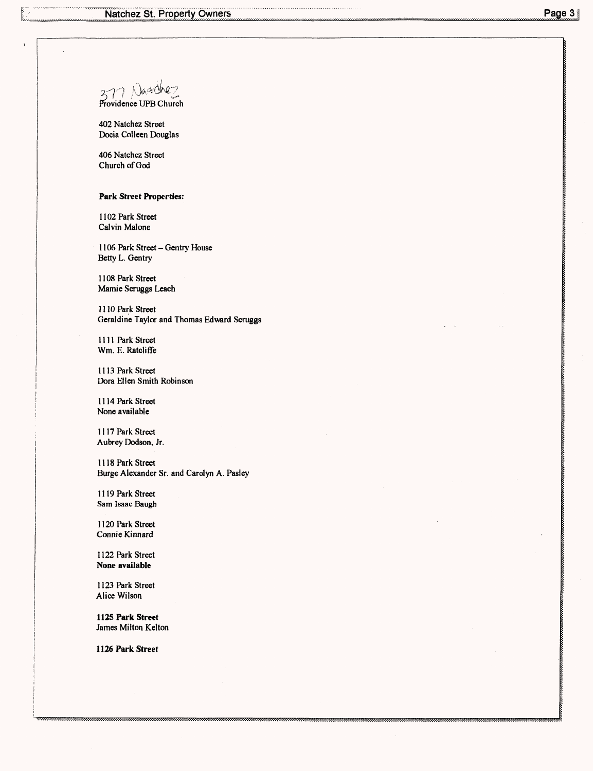7 Nagdhez  $2^{2}$ 

Providence UPB Church

402 Natchez Street Docia Colleen Douglas

406 Natchez Street Church of God

#### **Park Street Properties:**

1102 Park Street Calvin Malone

1106 Park Street - Gentry House Betty L. Gentry

1108 Park Street Mamie Scruggs Leach

1110 Park Street Geraldine Taylor and Thomas Edward Scruggs

1111 Park Street Wm. E. Ratcliffe

1113 Park Street Dora Ellen Smith Robinson

1114 Park Street None available

1117 Park Street Aubrey Dodson, Jr.

1118 Park Street Burge Alexander Sr. and Carolyn A. Pasley

1119 Park Street Sam Isaac Baugh

1120 Park Street Connie Kinnard

1122 Park Street **None available**

1123 Park Street Alice Wilson

**1125 Park Street** James Milton Kelton

**1126 Park Street**